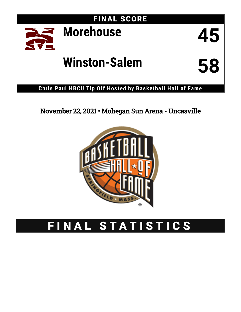FINAL SCORE



# **Winston-Salem 58**



#### **Chris Paul HBCU Tip Off Hos ted by Basketball Hall of Fame**

### November 22, 2021 • Mohegan Sun Arena - Uncasville



## FINAL STATISTICS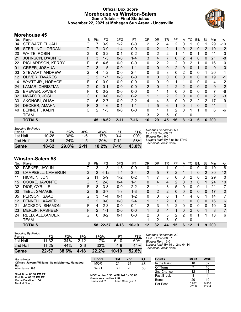#### **Official Box Score Morehouse vs Winston-Salem Game Totals -- Final Statistics November 22, 2021 at Mohegan Sun Arena - Uncasville**



#### **Morehouse 45**

| No. | Player                   | S  | Pts           | FG       | 3FG      | <b>FT</b> | <b>OR</b>      | <b>DR</b>    | TR           | PF             | A              | TO       | <b>Blk</b>   | Stl      | Min        | $+/-$        |
|-----|--------------------------|----|---------------|----------|----------|-----------|----------------|--------------|--------------|----------------|----------------|----------|--------------|----------|------------|--------------|
| 04  | STEWART, ELIJAH          | G  |               | $3-9$    | $1-2$    | $0-0$     | 2              | 2            | 4            | 2              | 0              |          | 0            |          | 29         | $-19$        |
| 05  | STERLING, JORDAN         | G  |               | $3-9$    | $1 - 4$  | $0 - 0$   | 0              | 2            | 2            |                | 0              | 2        | 0            | 2        | 19         | $-12$        |
| 20  | WHITE, ROBIN             | G  | 0             | $0 - 2$  | $0 - 1$  | $0 - 2$   | 0              | 2            | 2            |                |                | 0        |              | 0        | 11         | $-3$         |
| 21  | JOHNSON, D'AUNTE         | F. | 3             | $1 - 3$  | $0 - 0$  | $1 - 4$   | 3              | 4            | 7            | 0              | 2              | 4        | $\mathbf{0}$ | 0        | 21         | -8           |
| 22  | <b>RICHARDSON, KERRY</b> | F  | 8             | 4-6      | $0-0$    | $0-0$     | 0              | 2            | 2            | $\overline{2}$ | 0              | 2        |              | 0        | 16         | 0            |
| 01  | <b>GREER, JOSHUA</b>     | G  | 3             | $1 - 5$  | $0 - 0$  | $1 - 1$   | 0              | $\mathbf{0}$ | 0            | 2              | $\mathbf{0}$   | 0        |              | $\Omega$ | 9          | 0            |
| 03  | <b>STEWART, ANDREW</b>   | G  | 4             | $1 - 2$  | $0 - 0$  | $2 - 4$   | 0              | 3            | 3            | $\Omega$       | $\overline{2}$ | 0        | $\Omega$     | 1        | 20         | 1            |
| 12  | <b>OLIVER, TAVARES</b>   | G  | $\mathcal{P}$ | $1 - 7$  | $0 - 3$  | $0 - 0$   | 0              | $\mathbf{0}$ | $\mathbf{0}$ | 0              | 0              | $\Omega$ | $\Omega$     | $\Omega$ | 19         | $-1$         |
| 14  | <b>WYATT JR., HORACE</b> | F  | 0             | $0 - 0$  | $0 - 0$  | $0 - 0$   | 0              | $\mathbf{0}$ | 0            |                |                | 0        | 0            | 0        | 4          | $-2$         |
| 24  | LAMAR, CHRISTIAN         | G  | $\Omega$      | $0 - 1$  | $0 - 0$  | $0 - 0$   | $\overline{2}$ | $\mathbf{0}$ | 2            | 2              | 2              | $\Omega$ | $\Omega$     | 0        | 9          | 2            |
| 25  | <b>BREWER, XAVIER</b>    | F  | 0             | $0 - 2$  | $0 - 0$  | $0 - 0$   | 0              | 1            | 1            | 0              | 0              | 0        | 0            | 0        | 7          | -6           |
| 32  | NWAFOR, JOSH             | С  | $\Omega$      | $0 - 0$  | $0 - 0$  | $0 - 2$   | 1              | 1            | 2            | 2              | 0              | 0        | $\Omega$     | $\Omega$ | 2          | $-3$         |
| 33  | AKONOBI, OLISA           | С  | 6             | $2 - 7$  | $0 - 0$  | $2 - 2$   | 4              | 4            | 8            | 0              | 0              | 2        | 2            | 2        | 17         | -9           |
| 34  | <b>DECKER, AMAHN</b>     | F  | 3             | $1 - 6$  | $0 - 1$  | $1 - 1$   | 1              | 5            | 6            | 1              | 0              |          | $\Omega$     | $\Omega$ | 11         | $\mathbf{1}$ |
| 40  | <b>BENNETT, KALIN</b>    | С  | 2             | $1 - 3$  | $0 - 0$  | $0 - 0$   | 0              | 1            | 1            | 2              | $\Omega$       |          |              | 0        | 6          | $-6$         |
|     | <b>TEAM</b>              |    |               |          |          |           | 3              | 2            | 5            | 0              |                | 0        |              |          |            |              |
|     | <b>TOTALS</b>            |    |               | 45 18-62 | $2 - 11$ | $7 - 16$  | 16             | 29           | 45           | 16             | 8              | 13       | 6            | 6        | <b>200</b> |              |

| Game                                | 18-62     | $29.0\%$ | $2 - 11$ | 18.2% | $7-16$  | 43.8% |                                                           |
|-------------------------------------|-----------|----------|----------|-------|---------|-------|-----------------------------------------------------------|
| 2nd Half                            | $8-34$    | 24%      | $1 - 5$  | 20%   | 7-12    | 58%   | Largest lead: By 3 at 1st-17:49<br>Technical Fouls: None. |
| 1st Half                            | $10 - 28$ | 36%      | 1-6      | 17%   | $0 - 4$ | 00%   | Biagest Run: 6-0                                          |
| <b>Shooting By Period</b><br>Period | FG        | FG%      | 3FG      | 3FG%  | FT      | FT%   | Deadball Rebounds: 5,1<br>Last FG: 2nd-00:02              |

#### **Winston-Salem 58**

| No. | Plaver                 | S  | Pts           | FG       | 3FG      | FT      | 0R             | DR | TR | РF             | A        | TO | <b>B</b> lk | Stl      | Min | $+/-$        |
|-----|------------------------|----|---------------|----------|----------|---------|----------------|----|----|----------------|----------|----|-------------|----------|-----|--------------|
| 02  | PARKER, JAYLIN         | G  | 3             | $1 - 3$  | $1 - 3$  | $0 - 0$ | 0              |    |    | 0              |          | 0  | $\Omega$    | 0        | 19  | 8            |
| 03  | CAMPBELL, CAMERON      | G  | 12            | $4 - 12$ | 1-4      | $3 - 4$ | $\overline{2}$ | 5  |    | 2              |          |    | 0           | 2        | 30  | 12           |
| 11  | <b>HICKLIN, JON</b>    | G  | 11            | $5-9$    | $1 - 2$  | $0 - 2$ |                |    | 8  | 0              | 0        | 2  | 0           | 2        | 29  | $\mathbf{0}$ |
| 15  | COOKE, JAVONTE         | G  | 5             | $2 - 8$  | $0 - 4$  | $1 - 1$ | $\Omega$       | 4  | 4  | $\overline{2}$ | 0        | 3  | 0           |          | 24  | 10           |
| 32  | DIOP, CYRILLE          | F. | 8             | $3 - 8$  | $0 - 0$  | $2 - 2$ | 2              |    | 3  | 5              | 0        | 0  | 0           |          | 21  | 7            |
| 00  | TEEL , SAMAGE          | G  | 8             | $3 - 7$  | $1 - 3$  | $1 - 3$ | $\Omega$       | 2  | 2  | 0              | $\Omega$ | 0  | $\Omega$    | 0        | 17  | 2            |
| 05  | PERSON, ISAAC          | G  | 3             | 1-4      | $0 - 1$  | $1 - 2$ | 0              | 0  | 0  |                |          | 4  | 0           |          | 14  | 7            |
| 12  | FENNELL, XAVIER        | G  | 2             | $0 - 0$  | $0 - 0$  | $2 - 4$ | 1              |    | 2  | 0              |          | 0  | $\Omega$    | $\Omega$ | 16  | 6            |
| 21  | <b>JACKSON, SHAMON</b> | F  | 4             | $2 - 3$  | $0 - 0$  | $0 - 1$ | 2              | 3  | 5  | 2              | 0        | 0  | $\Omega$    | 0        | 10  | $\mathbf{0}$ |
| 23  | <b>MERLIN, RASHEEN</b> | F. | $\mathcal{P}$ | $1 - 1$  | $0 - 0$  | $0 - 0$ |                | 3  | 4  |                | 0        | 2  | $\Omega$    |          | 8   | 7            |
| 24  | <b>REED, ALEXANDER</b> | G  | 0             | $0 - 2$  | $0 - 1$  | $0 - 0$ | $\mathcal{P}$  | 3  | 5  | 2              | 2        | 0  |             |          | 13  | 6            |
|     | <b>TEAM</b>            |    |               |          |          |         |                | 2  | 3  | 0              |          | 0  |             |          |     |              |
|     | <b>TOTALS</b>          |    |               | 58 22-57 | $4 - 18$ | $10-19$ | 12             | 32 | 44 | 15             | 6        | 12 |             | 9        | 200 |              |

| Game                                | 22-57     | 38.6% | 4-18     | 22.2% | $10-19$ | 52.6% |
|-------------------------------------|-----------|-------|----------|-------|---------|-------|
| 2nd Half                            | $11 - 25$ | 44%   | $2 - 6$  | 33%   | 4-9     | 44%   |
| 1st Half                            | $11 - 32$ | 34%   | $2 - 12$ | 17%   | ჩ-10    | 60%   |
| <b>Shooting By Period</b><br>Period | FG        | FG%   | 3FG      | 3FG%  | FT      | FT%   |

*Deadball Rebounds:* 2,0 *Last FG:* 2nd-00:07 *Biggest Run:* 12-0 *Largest lead:* By 19 at 2nd-04:14 *Technical Fouls:* None.

| Game Notes:      |                                                   |  | <b>Score</b> | 1st | 2nd | тот |
|------------------|---------------------------------------------------|--|--------------|-----|-----|-----|
| Ba               | Officials: Juwann Williams, Sean Mahoney, Mamadou |  | <b>MOR</b>   |     |     | 45  |
| Attendance: 1961 |                                                   |  | WSU          | 30  | 28  | 58  |
|                  |                                                   |  |              |     |     |     |

Start Time: **06:32 PM ET** End Time: **08:26 PM ET** Game Duration: **1:54** Neutral Court;

**MOR led for 0:56. WSU led for 36:08. Game was tied for 2:57.** Times tied: **2** Lead Changes: **2**

| <b>Points</b>     | <b>MOR</b>     | <b>WSU</b>     |
|-------------------|----------------|----------------|
| In the Paint      | 18             | 32             |
| Off Turns         |                | 16             |
| 2nd Chance        | 12             | 13             |
| <b>Fast Break</b> | 8              |                |
| Bench             | 20             | 19             |
| Per Poss          | 0.682<br>22/66 | 0.906<br>28/64 |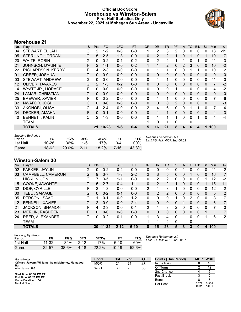#### **Official Box Score Morehouse vs Winston-Salem First Half Statistics Only November 22, 2021 at Mohegan Sun Arena - Uncasville**



#### **Morehouse 21**

| No. | Player                   | S | Pts           | FG       | 3FG     | <b>FT</b> | <b>OR</b>      | <b>DR</b>    | TR           | PF           | A        | <b>TO</b> | <b>Blk</b>   | Stl          | <b>Min</b>     | $+/-$ |
|-----|--------------------------|---|---------------|----------|---------|-----------|----------------|--------------|--------------|--------------|----------|-----------|--------------|--------------|----------------|-------|
| 04  | STEWART, ELIJAH          | G | 2             | $1 - 2$  | $0-0$   | $0-0$     |                | 2            | 3            | 2            | 0        | 0         | 0            | 0            | 13             | $-11$ |
| 05  | STERLING, JORDAN         | G | 5             | $2 - 5$  | $1 - 3$ | $0 - 0$   | 0              | 2            | 2            |              | 0        |           | $\Omega$     |              | 10             | $-7$  |
| 20  | WHITE, ROBIN             | G | 0             | $0 - 2$  | $0 - 1$ | $0 - 2$   | 0              | 2            | 2            |              |          | 0         |              | 0            | 11             | $-3$  |
| 21  | JOHNSON, D'AUNTE         | F | $\mathcal{P}$ | $1 - 1$  | $0 - 0$ | $0 - 2$   |                | 1            | 2            | 0            | 2        | 3         | $\mathbf{0}$ | 0            | 10             | $-2$  |
| 22  | <b>RICHARDSON, KERRY</b> | F | 4             | $2 - 3$  | $0 - 0$ | $0 - 0$   | 0              | 1            |              | 0            | 0        |           |              | 0            | 10             | 2     |
| 01  | <b>GREER, JOSHUA</b>     | G | $\mathbf{0}$  | $0 - 0$  | $0 - 0$ | $0 - 0$   | 0              | $\mathbf{0}$ | $\mathbf{0}$ | 0            | 0        | 0         | $\mathbf{0}$ | 0            | $\mathbf{0}$   | 0     |
| 03  | STEWART, ANDREW          | G | 0             | $0-0$    | $0-0$   | $0-0$     | 0              | 1            | 1            | 0            | 0        | 0         | $\mathbf{0}$ | 0            | 11             | 0     |
| 12  | <b>OLIVER, TAVARES</b>   | G | $\mathcal{P}$ | $1 - 5$  | $0 - 2$ | $0 - 0$   | 0              | $\mathbf{0}$ | $\mathbf{0}$ | 0            | 0        | 0         | 0            | $\Omega$     | $\overline{7}$ | $-2$  |
| 14  | <b>WYATT JR., HORACE</b> | F | $\Omega$      | $0 - 0$  | $0 - 0$ | $0-0$     | 0              | $\mathbf{0}$ | $\mathbf{0}$ |              |          | 0         | 0            | 0            | 4              | $-2$  |
| 24  | <b>LAMAR, CHRISTIAN</b>  | G | $\Omega$      | $0 - 0$  | $0 - 0$ | $0 - 0$   | $\Omega$       | $\mathbf{0}$ | $\mathbf{0}$ | $\mathbf{0}$ | 0        | 0         | $\mathbf{0}$ | $\Omega$     | $\mathbf{0}$   | 0     |
| 25  | <b>BREWER, XAVIER</b>    | F | 0             | $0 - 2$  | $0-0$   | $0-0$     | 0              | 1            | $\mathbf 1$  | 0            | 0        | 0         | $\mathbf{0}$ | $\mathbf{0}$ | $\overline{7}$ | -6    |
| 32  | NWAFOR, JOSH             | C | $\Omega$      | $0 - 0$  | $0 - 0$ | $0-0$     | 0              | $\mathbf{0}$ | $\mathbf{0}$ | 2            | $\Omega$ | 0         | $\Omega$     | $\Omega$     | 1              | $-3$  |
| 33  | AKONOBI, OLISA           | С | 4             | $2 - 4$  | $0-0$   | $0-0$     | $\overline{2}$ | 4            | 6            | $\mathbf{0}$ | 0        |           |              | 0            | 7              | $-4$  |
| 34  | <b>DECKER, AMAHN</b>     | F | $\Omega$      | $0 - 1$  | $0 - 0$ | $0 - 0$   | 0              | 1            | $\mathbf{1}$ | $\Omega$     | 0        | 0         | $\Omega$     | $\Omega$     | 4              | $-3$  |
| 40  | <b>BENNETT, KALIN</b>    | С | 2             | $1 - 3$  | $0-0$   | $0-0$     | 0              | 1            |              | 1.           | 0        | 0         |              | $\Omega$     | 4              | $-4$  |
|     | <b>TEAM</b>              |   |               |          |         |           |                | 0            |              | $\Omega$     |          | 0         |              |              |                |       |
|     | TOTALS                   |   |               | 21 10-28 | $1 - 6$ | $0 - 4$   | 5              | 16           | 21           | 8            | 4        | 6         | 4            | 1            | 100            |       |
|     |                          |   |               |          |         |           |                |              |              |              |          |           |              |              |                |       |

| <b>Shooting By Period</b><br>Period | FG        | FG%      | 3FG      | 3FG%     | FТ   | FT%   | Deadball Rebounds: 5,1<br>Last FG Half: MOR 2nd-00:02 |
|-------------------------------------|-----------|----------|----------|----------|------|-------|-------------------------------------------------------|
| 1st Half                            | $10 - 28$ | 36%      | 1-6      | 17%      |      | 00%   |                                                       |
| Game                                | 18-62     | $29.0\%$ | $2 - 11$ | $18.2\%$ | 7-16 | 43.8% |                                                       |

#### **Winston-Salem 30**

| No. | Player                 | S | <b>Pts</b>    | <b>FG</b> | 3FG      | <b>FT</b> | <b>OR</b>      | <b>DR</b> | <b>TR</b> | PF             | A            | TO       | <b>Blk</b> | Stl      | Min | $+/-$          |
|-----|------------------------|---|---------------|-----------|----------|-----------|----------------|-----------|-----------|----------------|--------------|----------|------------|----------|-----|----------------|
| 02  | PARKER, JAYLIN         | G | 0             | $0 - 2$   | $0 - 2$  | $0 - 0$   | 0              | 0         | 0         | 0              |              | 0        | 0          | 0        | 11  | 2              |
| 03  | CAMPBELL, CAMERON      | G | 9             | $3 - 7$   | $1 - 3$  | $2 - 2$   | $\overline{2}$ | 3         | 5         | 0              | $\mathbf{0}$ |          | 0          | 0        | 16  | $\overline{7}$ |
| 11  | <b>HICKLIN, JON</b>    | G | 7             | $3 - 5$   | $1 - 1$  | $0 - 0$   | 0              | 2         | 2         | 0              | 0            | 0        | 0          |          | 12  | $-2$           |
| 15  | COOKE, JAVONTE         | G | 5             | $2 - 7$   | $0 - 4$  | $1 - 1$   | $\mathbf{0}$   | 2         | 2         |                | $\mathbf{0}$ | 0        | 0          |          | 15  | 11             |
| 32  | DIOP, CYRILLE          | F | 2             | $1 - 3$   | $0 - 0$  | $0-0$     | 2              | 1         | 3         |                | 0            | 0        | 0          | 0        | 12  | 2              |
| 00  | TEEL, SAMAGE           | G | 0             | $0 - 2$   | $0 - 1$  | $0 - 0$   | $\Omega$       | 2         | 2         | 0              | $\Omega$     | 0        | $\Omega$   | 0        | 5   | 2              |
| 05  | PERSON, ISAAC          | G |               | $0 - 1$   | $0-0$    | $1 - 2$   | 0              | 0         | 0         |                | 0            | 2        | 0          | 0        | 8   | 7              |
| 12  | FENNELL, XAVIER        | G | $\mathcal{P}$ | $0 - 0$   | $0 - 0$  | $2 - 4$   | $\Omega$       | $\Omega$  | $\Omega$  | 0              | 1            | 0        | 0          | $\Omega$ | 6   | 7              |
| 21  | <b>JACKSON, SHAMON</b> | F | 4             | $2 - 3$   | $0 - 0$  | $0 - 1$   | 2              | 1         | 3         | $\overline{2}$ | 0            | 0        | 0          | 0        | 7   | 0              |
| 23  | <b>MERLIN, RASHEEN</b> | F | 0             | $0 - 0$   | $0 - 0$  | $0 - 0$   | $\Omega$       | 0         | 0         | 0              | $\Omega$     | $\Omega$ | $\Omega$   |          |     | $\overline{7}$ |
| 24  | REED, ALEXANDER        | G | 0             | $0 - 2$   | $0 - 1$  | $0 - 0$   | 1              | 3         | 4         | 0              | 1            | 0        | 0          |          | 6   | 2              |
|     | <b>TEAM</b>            |   |               |           |          |           |                | 1         | 2         | 0              |              | 0        |            |          |     |                |
|     | <b>TOTALS</b>          |   | 30            | $11 - 32$ | $2 - 12$ | $6 - 10$  | 8              | 15        | 23        | 5              | 3            | 3        | $\Omega$   | 4        | 100 |                |

| <b>Shooting By Period</b><br>Period | FG    | FG%   | 3FG      | 3FG%  |           | FT%   |
|-------------------------------------|-------|-------|----------|-------|-----------|-------|
| 1st Half                            | 11-32 | 34%   | $2 - 12$ | 17%   | ჩ-10      | 60%   |
| Game                                | 22-57 | 38.6% | 4-18     | 22.2% | $10 - 19$ | 52.6% |

*Deadball Rebounds:* 2,0 *Last FG Half:* WSU 2nd-00:07

| Game Notes:                                             | <b>Score</b> | 1st | 2 <sub>nd</sub> | TOT | <b>Points (This Period)</b> | <b>MOR</b>     | <b>WSU</b>     |
|---------------------------------------------------------|--------------|-----|-----------------|-----|-----------------------------|----------------|----------------|
| Officials: Juwann Williams, Sean Mahoney, Mamadou<br>Ba | <b>MOR</b>   | 21  | 24              | 45  | In the Paint                |                | 16             |
| Attendance: 1961                                        | WSU          | 30  | 28              | 58  | Off Turns                   |                | 12             |
|                                                         |              |     |                 |     | 2nd Chance                  |                |                |
| Start Time: 06:32 PM ET<br>End Time: 08:26 PM ET        |              |     |                 |     | <b>Fast Break</b>           |                |                |
| Game Duration: 1:54                                     |              |     |                 |     | Bench                       |                |                |
| Neutral Court:                                          |              |     |                 |     | Per Poss                    | 0.677<br>10/31 | 0.968<br>14/31 |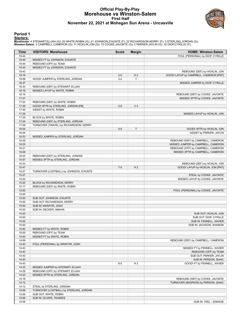#### **Official Play-By-Play Morehouse vs Winston-Salem First Half November 22, 2021 at Mohegan Sun Arena - Uncasville**



#### **Period 1**

<mark>Starters:</mark><br>Morehouse: 4 STEWART,ELIJAH (G); 20 WHITE,ROBIN (G); 21 JOHNSON,D'AUNTE (F); 22 RICHARDSON,KERRY (F); 5 STERLING,JORDAN (G);<br>**Winston-Salem**: 3 CAMPBELL,CAMERON (G); 11 HICKLIN,JON (G); 15 COOKE,JAVONTE (G); 2

| Time           | <b>VISITORS: Morehouse</b>                                           | <b>Score</b> | <b>Margin</b>  | <b>HOME: Winston-Salem</b>                                             |
|----------------|----------------------------------------------------------------------|--------------|----------------|------------------------------------------------------------------------|
| 19:44          |                                                                      |              |                | FOUL (PERSONAL) by DIOP, CYRILLE                                       |
| 19:44          | MISSED FT by JOHNSON, D'AUNTE                                        |              |                |                                                                        |
| 19:44          | REBOUND (OFF) by TEAM                                                |              |                |                                                                        |
| 19:44          | MISSED FT by JOHNSON, D'AUNTE                                        |              |                |                                                                        |
| 19:43          |                                                                      |              |                | REBOUND (DEF) by HICKLIN, JON                                          |
| 19:19          |                                                                      | $2 - 0$      | H <sub>2</sub> | GOOD! LAYUP by CAMPBELL, CAMERON [PNT]                                 |
| 18:58          | GOOD! JUMPER by STERLING, JORDAN                                     | $2 - 2$      | T              |                                                                        |
| 18:37          |                                                                      |              |                | MISSED JUMPER by DIOP, CYRILLE                                         |
| 18:33          | REBOUND (DEF) by STEWART, ELIJAH                                     |              |                |                                                                        |
| 18:19          | MISSED LAYUP by WHITE, ROBIN                                         |              |                |                                                                        |
| 18:16          |                                                                      |              |                | REBOUND (DEF) by COOKE, JAVONTE                                        |
| 17:57          |                                                                      |              |                | MISSED 3PTR by COOKE, JAVONTE                                          |
| 17:53<br>17:49 | REBOUND (DEF) by WHITE, ROBIN<br>GOOD! 3PTR by STERLING, JORDAN [FB] | $2 - 5$      | V <sub>3</sub> |                                                                        |
| 17:49          | ASSIST by WHITE, ROBIN                                               |              |                |                                                                        |
| 17:29          |                                                                      |              |                | MISSED LAYUP by HICKLIN, JON                                           |
| 17:29          | BLOCK by WHITE, ROBIN                                                |              |                |                                                                        |
| 17:24          | REBOUND (DEF) by STERLING, JORDAN                                    |              |                |                                                                        |
| 17:09          | TURNOVER (TRAVEL) by RICHARDSON, KERRY                               |              |                |                                                                        |
| 16:54          |                                                                      | $5-5$        | T              | GOOD! 3PTR by HICKLIN, JON                                             |
| 16:54          |                                                                      |              |                | ASSIST by PARKER, JAYLIN                                               |
| 16:33          | MISSED JUMPER by STERLING, JORDAN                                    |              |                |                                                                        |
| 16:29          |                                                                      |              |                | REBOUND (DEF) by CAMPBELL, CAMERON                                     |
| 16:25          |                                                                      |              |                | MISSED JUMPER by CAMPBELL, CAMERON                                     |
| 16:21          |                                                                      |              |                | REBOUND (OFF) by CAMPBELL, CAMERON                                     |
| 16:09          |                                                                      |              |                | MISSED 3PTR by CAMPBELL, CAMERON                                       |
| 16:03          | REBOUND (DEF) by STERLING, JORDAN                                    |              |                |                                                                        |
| 15:57          | MISSED 3PTR by STERLING, JORDAN                                      |              |                |                                                                        |
| 15:53          |                                                                      |              |                | REBOUND (DEF) by HICKLIN, JON                                          |
| 15:47          |                                                                      | $7 - 5$      | H <sub>2</sub> | GOOD! LAYUP by HICKLIN, JON [PNT]                                      |
| 15:27          | TURNOVER (LOSTBALL) by JOHNSON, D'AUNTE                              |              |                |                                                                        |
| 15:27          |                                                                      |              |                | STEAL by COOKE, JAVONTE                                                |
| 15:22          |                                                                      |              |                | MISSED LAYUP by COOKE, JAVONTE                                         |
| 15:22          | BLOCK by RICHARDSON, KERRY                                           |              |                |                                                                        |
| 15:17<br>15:00 | REBOUND (DEF) by WHITE, ROBIN                                        |              |                |                                                                        |
| 15:00          |                                                                      |              |                | FOUL (PERSONAL) by COOKE, JAVONTE                                      |
| 15:00          | SUB OUT: JOHNSON, D'AUNTE                                            |              |                |                                                                        |
| 15:00          | SUB OUT: RICHARDSON, KERRY                                           |              |                |                                                                        |
| 15:00          | SUB IN: NWAFOR, JOSH                                                 |              |                |                                                                        |
| 15:00          | SUB IN: DECKER, AMAHN                                                |              |                |                                                                        |
| 15:00          |                                                                      |              |                | SUB OUT: HICKLIN, JON                                                  |
| 15:00          |                                                                      |              |                | SUB OUT: DIOP, CYRILLE                                                 |
| 15:00          |                                                                      |              |                | SUB IN: FENNELL, XAVIER                                                |
| 15:00          |                                                                      |              |                | SUB IN: JACKSON, SHAMON                                                |
| 15:00          | MISSED FT by WHITE, ROBIN                                            |              |                |                                                                        |
| 15:00          | REBOUND (OFF) by TEAM                                                |              |                |                                                                        |
| 15:00          | MISSED FT by WHITE, ROBIN                                            |              |                |                                                                        |
| 14:59          |                                                                      |              |                | REBOUND (DEF) by CAMPBELL, CAMERON                                     |
| 14:43          | FOUL (PERSONAL) by NWAFOR, JOSH                                      |              |                |                                                                        |
| 14:43          |                                                                      |              |                | MISSED FT by FENNELL, XAVIER                                           |
| 14:43          |                                                                      |              |                | REBOUND (OFF) by TEAM                                                  |
| 14:43          |                                                                      |              |                | SUB OUT: PARKER, JAYLIN                                                |
| 14:43          |                                                                      |              |                | SUB IN: PERSON, ISAAC                                                  |
| 14:43          |                                                                      | $8 - 5$      | H <sub>3</sub> | GOOD! FT by FENNELL, XAVIER                                            |
| 14:33          | MISSED JUMPER by STEWART, ELIJAH                                     |              |                |                                                                        |
| 14:29          | REBOUND (OFF) by STEWART, ELIJAH                                     |              |                |                                                                        |
| 14:23          | MISSED 3PTR by STERLING, JORDAN                                      |              |                |                                                                        |
| 14:18<br>14:12 |                                                                      |              |                | REBOUND (DEF) by COOKE, JAVONTE<br>TURNOVER (BADPASS) by PERSON, ISAAC |
| 14:12          | STEAL by STERLING, JORDAN                                            |              |                |                                                                        |
| 14:06          | TURNOVER (LOSTBALL) by STERLING, JORDAN                              |              |                |                                                                        |
| 14:06          | SUB OUT: WHITE, ROBIN                                                |              |                |                                                                        |
| 14:06          |                                                                      |              |                |                                                                        |
|                | SUB IN: OLIVER, TAVARES                                              |              |                |                                                                        |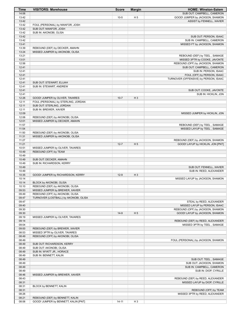| Time           | <b>VISITORS: Morehouse</b>                                              | <b>Score</b> | <b>Margin</b>  | <b>HOME: Winston-Salem</b>                                           |
|----------------|-------------------------------------------------------------------------|--------------|----------------|----------------------------------------------------------------------|
| 14:06          |                                                                         |              |                | SUB OUT: CAMPBELL, CAMERON                                           |
| 13:42          |                                                                         | $10-5$       | H <sub>5</sub> | GOOD! JUMPER by JACKSON, SHAMON                                      |
| 13:42<br>13:42 | FOUL (PERSONAL) by NWAFOR, JOSH                                         |              |                | ASSIST by FENNELL, XAVIER                                            |
| 13:42          | SUB OUT: NWAFOR, JOSH                                                   |              |                |                                                                      |
| 13:42          | SUB IN: AKONOBI, OLISA                                                  |              |                |                                                                      |
| 13:42          |                                                                         |              |                | SUB OUT: PERSON, ISAAC                                               |
| 13:42          |                                                                         |              |                | SUB IN: CAMPBELL, CAMERON                                            |
| 13:41          |                                                                         |              |                | MISSED FT by JACKSON, SHAMON                                         |
| 13:39<br>13:24 | REBOUND (DEF) by DECKER, AMAHN<br>MISSED JUMPER by AKONOBI, OLISA       |              |                |                                                                      |
| 13:21          |                                                                         |              |                | REBOUND (DEF) by TEEL, SAMAGE                                        |
| 13:01          |                                                                         |              |                | MISSED 3PTR by COOKE, JAVONTE                                        |
| 12:56          |                                                                         |              |                | REBOUND (OFF) by JACKSON, SHAMON                                     |
| 12:41          |                                                                         |              |                | SUB OUT: CAMPBELL, CAMERON                                           |
| 12:41          |                                                                         |              |                | SUB IN: PERSON, ISAAC                                                |
| 12:41<br>12:41 |                                                                         |              |                | FOUL (OFF) by PERSON, ISAAC<br>TURNOVER (OFFENSIVE) by PERSON, ISAAC |
| 12:41          | SUB OUT: STEWART, ELIJAH                                                |              |                |                                                                      |
| 12:41          | SUB IN: STEWART, ANDREW                                                 |              |                |                                                                      |
| 12:41          |                                                                         |              |                | SUB OUT: COOKE, JAVONTE                                              |
| 12:41          |                                                                         |              |                | SUB IN: HICKLIN, JON                                                 |
| 12:26          | GOOD! JUMPER by OLIVER, TAVARES                                         | $10 - 7$     | $H_3$          |                                                                      |
| 12:11<br>12:11 | FOUL (PERSONAL) by STERLING, JORDAN                                     |              |                |                                                                      |
| 12:11          | SUB OUT: STERLING, JORDAN<br>SUB IN: BREWER, XAVIER                     |              |                |                                                                      |
| 12:09          |                                                                         |              |                | MISSED JUMPER by HICKLIN, JON                                        |
| 12:06          | REBOUND (DEF) by AKONOBI, OLISA                                         |              |                |                                                                      |
| 12:01          | MISSED JUMPER by DECKER, AMAHN                                          |              |                |                                                                      |
| 11:57          |                                                                         |              |                | REBOUND (DEF) by TEEL, SAMAGE                                        |
| 11:54          |                                                                         |              |                | MISSED LAYUP by TEEL, SAMAGE                                         |
| 11:50<br>11:31 | REBOUND (DEF) by AKONOBI, OLISA<br>MISSED JUMPER by AKONOBI, OLISA      |              |                |                                                                      |
| 11:27          |                                                                         |              |                | REBOUND (DEF) by JACKSON, SHAMON                                     |
| 11:21          |                                                                         | $12 - 7$     | H <sub>5</sub> | GOOD! LAYUP by HICKLIN, JON [PNT]                                    |
| 10:51          | MISSED JUMPER by OLIVER, TAVARES                                        |              |                |                                                                      |
| 10:49          | REBOUND (OFF) by TEAM                                                   |              |                |                                                                      |
| 10:49          |                                                                         |              |                |                                                                      |
| 10:49<br>10:49 | SUB OUT: DECKER, AMAHN<br>SUB IN: RICHARDSON, KERRY                     |              |                |                                                                      |
| 10:49          |                                                                         |              |                | SUB OUT: FENNELL, XAVIER                                             |
| 10:49          |                                                                         |              |                | SUB IN: REED, ALEXANDER                                              |
| 10:35          | GOOD! JUMPER by RICHARDSON, KERRY                                       | $12-9$       | $H_3$          |                                                                      |
| 10:14          |                                                                         |              |                | MISSED LAYUP by JACKSON, SHAMON                                      |
| 10:14          | BLOCK by AKONOBI, OLISA<br>REBOUND (DEF) by AKONOBI, OLISA              |              |                |                                                                      |
| 10:10<br>09:53 | MISSED JUMPER by BREWER, XAVIER                                         |              |                |                                                                      |
| 09:49          | REBOUND (OFF) by AKONOBI, OLISA                                         |              |                |                                                                      |
| 09:47          | TURNOVER (LOSTBALL) by AKONOBI, OLISA                                   |              |                |                                                                      |
| 09:47          |                                                                         |              |                | STEAL by REED, ALEXANDER                                             |
| 09:40          |                                                                         |              |                | MISSED LAYUP by PERSON, ISAAC                                        |
| 09:30          |                                                                         |              |                | REBOUND (OFF) by JACKSON, SHAMON                                     |
| 09:30<br>09:19 | MISSED JUMPER by OLIVER, TAVARES                                        | $14-9$       | H <sub>5</sub> | GOOD! LAYUP by JACKSON, SHAMON                                       |
| 09:14          |                                                                         |              |                | REBOUND (DEF) by REED, ALEXANDER                                     |
| 09:04          |                                                                         |              |                | MISSED 3PTR by TEEL, SAMAGE                                          |
| 09:00          | REBOUND (DEF) by BREWER, XAVIER                                         |              |                |                                                                      |
| 08:53          | MISSED 3PTR by OLIVER, TAVARES                                          |              |                |                                                                      |
| 08:49          | REBOUND (OFF) by AKONOBI, OLISA                                         |              |                |                                                                      |
| 08:49<br>08:49 | SUB OUT: RICHARDSON, KERRY                                              |              |                | FOUL (PERSONAL) by JACKSON, SHAMON                                   |
| 08:49          | SUB OUT: AKONOBI, OLISA                                                 |              |                |                                                                      |
| 08:49          | SUB IN: WYATT JR., HORACE                                               |              |                |                                                                      |
| 08:49          | SUB IN: BENNETT, KALIN                                                  |              |                |                                                                      |
| 08:49          |                                                                         |              |                | SUB OUT: TEEL, SAMAGE                                                |
| 08:49          |                                                                         |              |                | SUB OUT: JACKSON, SHAMON                                             |
| 08:49          |                                                                         |              |                | SUB IN: CAMPBELL, CAMERON                                            |
| 08:49<br>08:46 | MISSED JUMPER by BREWER, XAVIER                                         |              |                | SUB IN: DIOP, CYRILLE                                                |
| 08:43          |                                                                         |              |                | REBOUND (DEF) by REED, ALEXANDER                                     |
| 08:31          |                                                                         |              |                | MISSED LAYUP by DIOP, CYRILLE                                        |
| 08:31          | BLOCK by BENNETT, KALIN                                                 |              |                |                                                                      |
| 08:31          |                                                                         |              |                | REBOUND (OFF) by TEAM                                                |
| 08:26          |                                                                         |              |                | MISSED 3PTR by REED, ALEXANDER                                       |
| 08:21<br>08:06 | REBOUND (DEF) by BENNETT, KALIN<br>GOOD! JUMPER by BENNETT, KALIN [PNT] | $14 - 11$    | H <sub>3</sub> |                                                                      |
|                |                                                                         |              |                |                                                                      |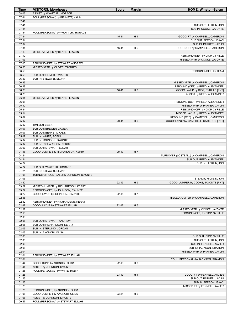| Time           | <b>VISITORS: Morehouse</b>                                         | <b>Score</b> | <b>Margin</b>  | <b>HOME: Winston-Salem</b>                      |
|----------------|--------------------------------------------------------------------|--------------|----------------|-------------------------------------------------|
| 08:06          | ASSIST by WYATT JR., HORACE                                        |              |                |                                                 |
| 07:41          | FOUL (PERSONAL) by BENNETT, KALIN                                  |              |                |                                                 |
| 07:41          |                                                                    |              |                |                                                 |
| 07:41<br>07:41 |                                                                    |              |                | SUB OUT: HICKLIN, JON<br>SUB IN: COOKE, JAVONTE |
| 07:34          | FOUL (PERSONAL) by WYATT JR., HORACE                               |              |                |                                                 |
| 07:34          |                                                                    | $15 - 11$    | H4             | GOOD! FT by CAMPBELL, CAMERON                   |
| 07:34          |                                                                    |              |                | SUB OUT: PERSON, ISAAC                          |
| 07:34          |                                                                    |              |                | SUB IN: PARKER, JAYLIN                          |
| 07:34          |                                                                    | $16-11$      | H <sub>5</sub> | GOOD! FT by CAMPBELL, CAMERON                   |
| 07:13          | MISSED JUMPER by BENNETT, KALIN                                    |              |                |                                                 |
| 07:10          |                                                                    |              |                | REBOUND (DEF) by DIOP, CYRILLE                  |
| 07:03<br>07:00 |                                                                    |              |                | MISSED 3PTR by COOKE, JAVONTE                   |
| 06:56          | REBOUND (DEF) by STEWART, ANDREW<br>MISSED 3PTR by OLIVER, TAVARES |              |                |                                                 |
| 06:53          |                                                                    |              |                | REBOUND (DEF) by TEAM                           |
| 06:53          | SUB OUT: OLIVER, TAVARES                                           |              |                |                                                 |
| 06:53          | SUB IN: STEWART, ELIJAH                                            |              |                |                                                 |
| 06:33          |                                                                    |              |                | MISSED 3PTR by CAMPBELL, CAMERON                |
| 06:29          |                                                                    |              |                | REBOUND (OFF) by REED, ALEXANDER                |
| 06:28          |                                                                    | $18 - 11$    | H 7            | GOOD! LAYUP by DIOP, CYRILLE [PNT]              |
| 06:28<br>06:11 | MISSED JUMPER by BENNETT, KALIN                                    |              |                | ASSIST by REED, ALEXANDER                       |
| 06:08          |                                                                    |              |                | REBOUND (DEF) by REED, ALEXANDER                |
| 05:40          |                                                                    |              |                | MISSED 3PTR by PARKER, JAYLIN                   |
| 05:34          |                                                                    |              |                | REBOUND (OFF) by DIOP, CYRILLE                  |
| 05:14          |                                                                    |              |                | MISSED LAYUP by REED, ALEXANDER                 |
| 05:09          |                                                                    |              |                | REBOUND (OFF) by CAMPBELL, CAMERON              |
| 05:07          |                                                                    | $20 - 11$    | H9             | GOOD! LAYUP by CAMPBELL, CAMERON [PNT]          |
| 05:07          | <b>TIMEOUT 30SEC</b>                                               |              |                |                                                 |
| 05:07<br>05:07 | SUB OUT: BREWER, XAVIER                                            |              |                |                                                 |
| 05:07          | SUB OUT: BENNETT, KALIN<br>SUB IN: WHITE, ROBIN                    |              |                |                                                 |
| 05:07          | SUB IN: JOHNSON, D'AUNTE                                           |              |                |                                                 |
| 05:07          | SUB IN: RICHARDSON, KERRY                                          |              |                |                                                 |
| 05:07          | SUB OUT: STEWART, ELIJAH                                           |              |                |                                                 |
| 04:48          | GOOD! JUMPER by RICHARDSON, KERRY                                  | $20-13$      | H 7            |                                                 |
| 04:24          |                                                                    |              |                | TURNOVER (LOSTBALL) by CAMPBELL, CAMERON        |
| 04:24          |                                                                    |              |                | SUB OUT: REED, ALEXANDER                        |
| 04:24<br>04:24 |                                                                    |              |                | SUB IN: HICKLIN, JON                            |
| 04:24          | SUB OUT: WYATT JR., HORACE<br>SUB IN: STEWART, ELIJAH              |              |                |                                                 |
| 04:06          | TURNOVER (LOSTBALL) by JOHNSON, D'AUNTE                            |              |                |                                                 |
| 04:06          |                                                                    |              |                | STEAL by HICKLIN, JON                           |
| 03:50          |                                                                    | $22 - 13$    | H9             | GOOD! JUMPER by COOKE, JAVONTE [PNT]            |
| 03:27          | MISSED JUMPER by RICHARDSON, KERRY                                 |              |                |                                                 |
| 03:22          | REBOUND (OFF) by JOHNSON, D'AUNTE                                  |              |                |                                                 |
| 03:22          | GOOD! LAYUP by JOHNSON, D'AUNTE                                    | $22 - 15$    | H 7            |                                                 |
| 02:58<br>02:52 | REBOUND (DEF) by RICHARDSON, KERRY                                 |              |                | MISSED JUMPER by CAMPBELL, CAMERON              |
| 02:47          | GOOD! LAYUP by STEWART, ELIJAH                                     | $22 - 17$    | H <sub>5</sub> |                                                 |
| 02:22          |                                                                    |              |                | MISSED 3PTR by COOKE, JAVONTE                   |
| 02:16          |                                                                    |              |                | REBOUND (OFF) by DIOP, CYRILLE                  |
| 02:06          |                                                                    |              |                |                                                 |
| 02:06          | SUB OUT: STEWART, ANDREW                                           |              |                |                                                 |
| 02:06          | SUB OUT: RICHARDSON, KERRY                                         |              |                |                                                 |
| 02:06          | SUB IN: STERLING, JORDAN                                           |              |                |                                                 |
| 02:06<br>02:06 | SUB IN: AKONOBI, OLISA                                             |              |                |                                                 |
| 02:06          |                                                                    |              |                | SUB OUT: DIOP, CYRILLE<br>SUB OUT: HICKLIN, JON |
| 02:06          |                                                                    |              |                | SUB IN: FENNELL, XAVIER                         |
| 02:06          |                                                                    |              |                | SUB IN: JACKSON, SHAMON                         |
| 02:04          |                                                                    |              |                | MISSED 3PTR by PARKER, JAYLIN                   |
| 02:01          | REBOUND (DEF) by STEWART, ELIJAH                                   |              |                |                                                 |
| 02:01          |                                                                    |              |                | FOUL (PERSONAL) by JACKSON, SHAMON              |
| 01:44          | GOOD! DUNK by AKONOBI, OLISA                                       | 22-19        | H <sub>3</sub> |                                                 |
| 01:44<br>01:26 | ASSIST by JOHNSON, D'AUNTE<br>FOUL (PERSONAL) by WHITE, ROBIN      |              |                |                                                 |
| 01:26          |                                                                    | 23-19        | H4             | GOOD! FT by FENNELL, XAVIER                     |
| 01:26          |                                                                    |              |                | SUB OUT: PARKER, JAYLIN                         |
| 01:26          |                                                                    |              |                | SUB IN: PERSON, ISAAC                           |
| 01:26          |                                                                    |              |                | MISSED FT by FENNELL, XAVIER                    |
| 01:25          | REBOUND (DEF) by AKONOBI, OLISA                                    |              |                |                                                 |
| 01:08          | GOOD! JUMPER by AKONOBI, OLISA                                     | $23 - 21$    | H <sub>2</sub> |                                                 |
| 01:08          | ASSIST by JOHNSON, D'AUNTE                                         |              |                |                                                 |
| 00:57          | FOUL (PERSONAL) by STEWART, ELIJAH                                 |              |                |                                                 |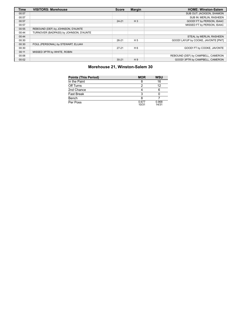| <b>Time</b> | <b>VISITORS: Morehouse</b>             | <b>Score</b> | <b>Margin</b>  | <b>HOME: Winston-Salem</b>          |
|-------------|----------------------------------------|--------------|----------------|-------------------------------------|
| 00:57       |                                        |              |                | SUB OUT: JACKSON, SHAMON            |
| 00:57       |                                        |              |                | SUB IN: MERLIN, RASHEEN             |
| 00:57       |                                        | $24 - 21$    | $H_3$          | GOOD! FT by PERSON, ISAAC           |
| 00:57       |                                        |              |                | MISSED FT by PERSON, ISAAC          |
| 00:55       | REBOUND (DEF) by JOHNSON, D'AUNTE      |              |                |                                     |
| 00:44       | TURNOVER (BADPASS) by JOHNSON, D'AUNTE |              |                |                                     |
| 00:44       |                                        |              |                | STEAL by MERLIN, RASHEEN            |
| 00:30       |                                        | $26 - 21$    | H <sub>5</sub> | GOOD! LAYUP by COOKE, JAVONTE [PNT] |
| 00:30       | FOUL (PERSONAL) by STEWART, ELIJAH     |              |                |                                     |
| 00:30       |                                        | $27 - 21$    | H <sub>6</sub> | GOOD! FT by COOKE, JAVONTE          |
| 00:11       | MISSED 3PTR by WHITE, ROBIN            |              |                |                                     |
| 00:06       |                                        |              |                | REBOUND (DEF) by CAMPBELL, CAMERON  |
| 00:02       |                                        | $30 - 21$    | H <sub>9</sub> | GOOD! 3PTR by CAMPBELL, CAMERON     |

#### **Morehouse 21, Winston-Salem 30**

| <b>Points (This Period)</b> | <b>MOR</b>     | <b>WSU</b>     |
|-----------------------------|----------------|----------------|
| In the Paint                |                | 16             |
| Off Turns                   |                | 12             |
| 2nd Chance                  |                |                |
| <b>Fast Break</b>           |                |                |
| Bench                       |                |                |
| Per Poss                    | 0.677<br>10/31 | 0.968<br>14/31 |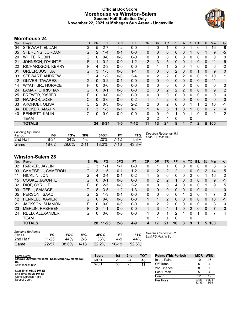#### **Official Box Score Morehouse vs Winston-Salem Second Half Statistics Only November 22, 2021 at Mohegan Sun Arena - Uncasville**



#### **Morehouse 24**

| No. | Player                   | S | <b>Pts</b>     | <b>FG</b> | 3FG     | <b>FT</b> | <b>OR</b>      | <b>DR</b>    | <b>TR</b>      | PF           | $\mathsf{A}$ | <b>TO</b>    | <b>Blk</b>   | Stl          | Min            | $+/-$ |
|-----|--------------------------|---|----------------|-----------|---------|-----------|----------------|--------------|----------------|--------------|--------------|--------------|--------------|--------------|----------------|-------|
| 04  | STEWART, ELIJAH          | G | 5              | $2 - 7$   | $1 - 2$ | $0-0$     |                | 0            |                | 0            | 0            |              | 0            |              | 16             | -8    |
| 05  | STERLING, JORDAN         | G | $\overline{2}$ | $1 - 4$   | $0 - 1$ | $0 - 0$   | 0              | 0            | $\mathbf 0$    | 0            | 0            |              | 0            |              | 9              | $-5$  |
| 20  | WHITE, ROBIN             | G | 0              | $0-0$     | $0-0$   | $0-0$     | 0              | 0            | 0              | 0            | 0            | 0            | 0            | 0            | 0              | 0     |
| 21  | JOHNSON, D'AUNTE         | F |                | $0 - 2$   | $0 - 0$ | $1 - 2$   | 2              | 3            | 5              | 0            | 0            |              | $\mathbf{0}$ | $\Omega$     | 11             | $-6$  |
| 22  | RICHARDSON, KERRY        | F | 4              | $2 - 3$   | $0 - 0$ | $0 - 0$   | 0              | 1            | 1              | 2            | 0            |              | 0            | 0            | 6              | $-2$  |
| 01  | <b>GREER, JOSHUA</b>     | G | 3              | $1 - 5$   | $0 - 0$ | $1 - 1$   | 0              | 0            | $\mathbf{0}$   | 2            | 0            | 0            |              | $\Omega$     | 9              | 0     |
| 03  | STEWART, ANDREW          | G | 4              | $1 - 2$   | $0-0$   | $2 - 4$   | 0              | 2            | $\overline{2}$ | $\Omega$     | 2            | 0            | 0            | 1            | 10             | 1     |
| 12  | <b>OLIVER, TAVARES</b>   | G | $\Omega$       | $0 - 2$   | $0 - 1$ | $0 - 0$   | 0              | $\mathbf{0}$ | $\Omega$       | $\mathbf{0}$ | $\Omega$     | 0            | $\mathbf{0}$ | $\mathbf{0}$ | 11             | 1     |
| 14  | <b>WYATT JR., HORACE</b> | F | $\Omega$       | $0 - 0$   | $0-0$   | $0-0$     | 0              | $\mathbf{0}$ | $\mathbf{0}$   | $\Omega$     | 0            | 0            | 0            | 0            | 0              | 0     |
| 24  | LAMAR, CHRISTIAN         | G | $\Omega$       | $0 - 1$   | $0-0$   | $0 - 0$   | $\overline{2}$ | $\mathbf{0}$ | 2              | 2            | 2            | $\mathbf{0}$ | $\Omega$     | $\Omega$     | 9              | 2     |
| 25  | <b>BREWER, XAVIER</b>    | F | 0              | $0 - 0$   | $0-0$   | $0-0$     | 0              | $\mathbf{0}$ | $\mathbf{0}$   | $\Omega$     | 0            | 0            | $\Omega$     | 0            | 0              | 0     |
| 32  | NWAFOR, JOSH             | С | $\Omega$       | $0 - 0$   | $0 - 0$ | $0 - 2$   | $\mathbf 1$    | 1            | $\overline{2}$ | $\Omega$     | 0            | $\Omega$     | $\Omega$     | $\mathbf{0}$ | $\Omega$       | 0     |
| 33  | AKONOBI, OLISA           | С | 2              | $0 - 3$   | $0-0$   | $2 - 2$   | 2              | $\mathbf{0}$ | $\overline{2}$ | 0            | 0            |              |              | 2            | 10             | $-1$  |
| 34  | DECKER, AMAHN            | F | 3              | $1 - 5$   | $0 - 1$ | $1 - 1$   | 1              | 4            | 5              | 1            | 0            |              | 0            | $\Omega$     | $\overline{7}$ | 4     |
| 40  | <b>BENNETT, KALIN</b>    | С | $\Omega$       | $0 - 0$   | $0 - 0$ | $0 - 0$   | 0              | $\mathbf{0}$ | 0              | 1            | 0            | 1            | 0            | 0            | 2              | $-2$  |
|     | TEAM                     |   |                |           |         |           | 2              | 2            | 4              | $\Omega$     |              | 0            |              |              |                |       |
|     | <b>TOTALS</b>            |   | 24             | $8 - 34$  | $1 - 5$ | $7 - 12$  | 11             | 13           | 24             | 8            | 4            |              | 2            | 5            | 100            |       |
|     |                          |   |                |           |         |           |                |              |                |              |              |              |              |              |                |       |

| <b>Shooting By Period</b><br>Period | FG    | FG%   | 3FG       | 3FG%       |      | FT%   | Deadball Rebounds: 5,1<br>Last FG Half: MOR - |
|-------------------------------------|-------|-------|-----------|------------|------|-------|-----------------------------------------------|
| 2nd Half                            | 8-34  | 24%   | $1 - 5$   | <b>20%</b> | 7-12 | 58%   |                                               |
| Game                                | 18-62 | 29.0% | $-2 - 11$ | $18.2\%$   | 7-16 | 43.8% |                                               |

#### **Winston-Salem 28**

| No. | Player                 | S | <b>Pts</b> | <b>FG</b> | 3FG     | <b>FT</b> | <b>OR</b> | <b>DR</b> | TR             | PF       | A        | TO             | <b>Blk</b>   | Stl           | Min | $+/-$          |
|-----|------------------------|---|------------|-----------|---------|-----------|-----------|-----------|----------------|----------|----------|----------------|--------------|---------------|-----|----------------|
| 02  | PARKER, JAYLIN         | G | 3          | 1-1       | 1-1     | $0-0$     | 0         |           |                |          | 0        | 0              | 0            | 0             | 8   | 6              |
| 03  | CAMPBELL, CAMERON      | G | 3          | $1 - 5$   | $0 - 1$ | $1 - 2$   | 0         | 2         | 2              | 2        | 1        | 0              | $\mathbf{0}$ | $\mathcal{P}$ | 14  | 5              |
| 11  | <b>HICKLIN, JON</b>    | G | 4          | $2 - 4$   | $0 - 1$ | $0 - 2$   | 1         | 5         | 6              | 0        | 0        | 2              | 0            |               | 16  | $\overline{2}$ |
| 15  | COOKE, JAVONTE         | G | 0          | $0 - 1$   | $0 - 0$ | $0 - 0$   | $\Omega$  | 2         | $\overline{2}$ |          | $\Omega$ | 3              | $\Omega$     | 0             | 9   | $-1$           |
| 32  | DIOP, CYRILLE          | F | 6          | $2 - 5$   | $0 - 0$ | $2 - 2$   | 0         | 0         | $\Omega$       | 4        | 0        | 0              | 0            |               | 9   | 5              |
| 00  | <b>TEEL, SAMAGE</b>    | G | 8          | $3 - 5$   | $1 - 2$ | $1 - 3$   | 0         | 0         | $\mathbf{0}$   | 0        | 0        | 0              | $\Omega$     | 0             | 11  | 0              |
| 05  | PERSON, ISAAC          | G | 2          | $1 - 3$   | $0 - 1$ | $0 - 0$   | $\Omega$  | $\Omega$  | $\Omega$       | $\Omega$ | 1        | 2              | $\Omega$     |               | 7   | 0              |
| 12  | <b>FENNELL, XAVIER</b> | G | 0          | $0 - 0$   | $0 - 0$ | $0 - 0$   |           |           | 2              | 0        | 0        | 0              | $\Omega$     | 0             | 10  | $-1$           |
| 21  | <b>JACKSON, SHAMON</b> | F | 0          | $0 - 0$   | $0 - 0$ | $0 - 0$   | 0         | 2         | 2              | 0        | 0        | 0              | $\Omega$     | 0             | 3   | 0              |
| 23  | <b>MERLIN, RASHEEN</b> | F | 2          | $1 - 1$   | $0 - 0$ | $0 - 0$   |           | 3         | 4              |          | 0        | $\overline{2}$ | $\Omega$     | $\Omega$      | 7   | $\Omega$       |
| 24  | <b>REED, ALEXANDER</b> | G | 0          | $0-0$     | $0-0$   | $0 - 0$   | 1         | 0         | 1              | 2        | 1        | 0              |              | <sup>0</sup>  |     | 4              |
|     | <b>TEAM</b>            |   |            |           |         |           | 0         |           |                | $\Omega$ |          | 0              |              |               |     |                |
|     | <b>TOTALS</b>          |   |            | 28 11-25  | $2 - 6$ | $4 - 9$   | 4         | 17        | 21             | 10       | 3        | 9              | 1            | 5             | 100 |                |
|     |                        |   |            |           |         |           |           |           |                |          |          |                |              |               |     |                |

| <b>Shooting By Period</b><br>Period | FG        | FG%   | 3FG   | 3FG%  | FТ        | FT%   | Dι<br>Lε |
|-------------------------------------|-----------|-------|-------|-------|-----------|-------|----------|
| 2nd Half                            | $11 - 25$ | 44%   | $2-6$ | 33%   | 4-9       | 44%   |          |
| Game                                | 22-57     | 38.6% | 4-18  | 22.2% | $10 - 19$ | 52.6% |          |

*Deadball Rebounds:* 2,0 *Last FG Half:* WSU -

| Game Notes:                                             | <b>Score</b> | 1st | 2 <sub>nd</sub> | TOT | <b>Points (This Period)</b> | <b>MOR</b>     | <b>WSU</b>     |
|---------------------------------------------------------|--------------|-----|-----------------|-----|-----------------------------|----------------|----------------|
| Officials: Juwann Williams, Sean Mahoney, Mamadou<br>Ba | <b>MOR</b>   | 21  | 24              | 45  | In the Paint                |                | 16             |
| Attendance: 1961                                        | WSU          | 30  | 28              | 58  | Off Turns                   |                |                |
|                                                         |              |     |                 |     | 2nd Chance                  |                |                |
| Start Time: 06:32 PM ET<br>End Time: 08:26 PM ET        |              |     |                 |     | <b>Fast Break</b>           |                |                |
| Game Duration: 1:54                                     |              |     |                 |     | Bench                       |                | 12             |
| Neutral Court:                                          |              |     |                 |     | Per Poss                    | 0.686<br>12/35 | 0.824<br>13/34 |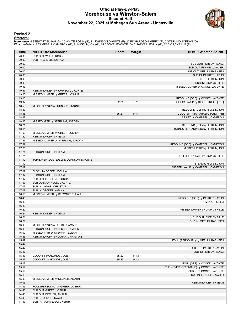#### **Official Play-By-Play Morehouse vs Winston-Salem Second Half November 22, 2021 at Mohegan Sun Arena - Uncasville**



#### **Period 2**

#### **Starters:**

Morehouse: 4 STEWART,ELIJAH (G); 20 WHITE,ROBIN (G); 21 JOHNSON,D'AUNTE (F); 22 RICHARDSON,KERRY (F); 5 STERLING,JORDAN (G);<br>**Winston-Salem**: 3 CAMPBELL,CAMERON (G); 11 HICKLIN,JON (G); 15 COOKE,JAVONTE (G); 2 PARKER,JAYLI

| Time           | <b>VISITORS: Morehouse</b>              | <b>Score</b> | <b>Margin</b> | <b>HOME: Winston-Salem</b>                       |
|----------------|-----------------------------------------|--------------|---------------|--------------------------------------------------|
| 20:00          | SUB OUT: WHITE, ROBIN                   |              |               |                                                  |
| 20:00          | SUB IN: GREER, JOSHUA                   |              |               |                                                  |
| 20:00          |                                         |              |               | SUB OUT: PERSON, ISAAC                           |
| 20:00          |                                         |              |               | SUB OUT: FENNELL, XAVIER                         |
| 20:00          |                                         |              |               | SUB OUT: MERLIN, RASHEEN                         |
| 20:00          |                                         |              |               | SUB IN: PARKER, JAYLIN                           |
| 20:00          |                                         |              |               | SUB IN: HICKLIN, JON                             |
| 20:00          |                                         |              |               | SUB IN: DIOP, CYRILLE                            |
| 19:43          |                                         |              |               | MISSED JUMPER by COOKE, JAVONTE                  |
| 19:37          | REBOUND (DEF) by JOHNSON, D'AUNTE       |              |               |                                                  |
| 19:20          | MISSED JUMPER by GREER, JOSHUA          |              |               |                                                  |
| 19:16          |                                         |              |               | REBOUND (DEF) by COOKE, JAVONTE                  |
| 19:07          |                                         | $32 - 21$    | H 11          | GOOD! LAYUP by DIOP, CYRILLE [PNT]               |
| 18:56          | MISSED LAYUP by JOHNSON, D'AUNTE        |              |               |                                                  |
| 18:53          |                                         |              |               | REBOUND (DEF) by HICKLIN, JON                    |
| 18:48          |                                         | $35 - 21$    | H 14          | GOOD! 3PTR by PARKER, JAYLIN [FB]                |
| 18:48          |                                         |              |               | ASSIST by CAMPBELL, CAMERON                      |
| 18:26          | MISSED 3PTR by STERLING, JORDAN         |              |               |                                                  |
| 18:21          |                                         |              |               | REBOUND (DEF) by HICKLIN, JON                    |
| 18:14          |                                         |              |               | TURNOVER (BADPASS) by HICKLIN, JON               |
| 17:53          | MISSED JUMPER by GREER, JOSHUA          |              |               |                                                  |
| 17:52          | REBOUND (OFF) by TEAM                   |              |               |                                                  |
| 17:37          | MISSED JUMPER by STERLING, JORDAN       |              |               |                                                  |
| 17:32          |                                         |              |               | REBOUND (DEF) by CAMPBELL, CAMERON               |
| 17:26          |                                         |              |               | MISSED LAYUP by HICKLIN, JON                     |
| 17:24          | REBOUND (DEF) by TEAM                   |              |               |                                                  |
| 17:24          |                                         |              |               | FOUL (PERSONAL) by DIOP, CYRILLE                 |
| 17:12          | TURNOVER (LOSTBALL) by JOHNSON, D'AUNTE |              |               |                                                  |
| 17:12          |                                         |              |               | STEAL by HICKLIN, JON                            |
| 17:07          |                                         |              |               | MISSED LAYUP by CAMPBELL, CAMERON                |
| 17:07          | BLOCK by GREER, JOSHUA                  |              |               |                                                  |
| 17:07          | REBOUND (DEF) by TEAM                   |              |               |                                                  |
| 17:07          | SUB OUT: STERLING, JORDAN               |              |               |                                                  |
| 17:07          | SUB OUT: JOHNSON, D'AUNTE               |              |               |                                                  |
| 17:07          | SUB IN: LAMAR, CHRISTIAN                |              |               |                                                  |
| 17:07<br>16:50 | SUB IN: DECKER, AMAHN                   |              |               |                                                  |
|                | MISSED JUMPER by STEWART, ELIJAH        |              |               |                                                  |
| 16:46<br>16:40 |                                         |              |               | REBOUND (DEF) by PARKER, JAYLIN<br>TIMEOUT 30SEC |
| 16:40          |                                         |              |               |                                                  |
| 16:22          |                                         |              |               | MISSED JUMPER by DIOP, CYRILLE                   |
| 16:21          | REBOUND (DEF) by TEAM                   |              |               |                                                  |
| 16:21          |                                         |              |               | SUB OUT: DIOP, CYRILLE                           |
| 16:21          |                                         |              |               | SUB IN: MERLIN, RASHEEN                          |
| 16:06          | MISSED LAYUP by DECKER, AMAHN           |              |               |                                                  |
| 16:03          | REBOUND (OFF) by DECKER, AMAHN          |              |               |                                                  |
| 16:00          | MISSED 3PTR by STEWART, ELIJAH          |              |               |                                                  |
| 15:55          | REBOUND (OFF) by LAMAR, CHRISTIAN       |              |               |                                                  |
| 15:47          |                                         |              |               | FOUL (PERSONAL) by MERLIN, RASHEEN               |
| 15:47          |                                         |              |               |                                                  |
| 15:47          |                                         |              |               | SUB OUT: PARKER, JAYLIN                          |
| 15:47          |                                         |              |               | SUB IN: PERSON, ISAAC                            |
| 15:47          | GOOD! FT by AKONOBI, OLISA              | 35-22        | H 13          |                                                  |
| 15:47          | GOOD! FT by AKONOBI, OLISA              | $35 - 23$    | H 12          |                                                  |
| 15:19          |                                         |              |               | FOUL (OFF) by COOKE, JAVONTE                     |
| 15:19          |                                         |              |               | TURNOVER (OFFENSIVE) by COOKE, JAVONTE           |
| 15:19          |                                         |              |               | SUB OUT: COOKE, JAVONTE                          |
| 15:19          |                                         |              |               | SUB IN: FENNELL, XAVIER                          |
| 15:09          | MISSED JUMPER by DECKER, AMAHN          |              |               |                                                  |
| 15:06          |                                         |              |               | REBOUND (DEF) by TEAM                            |
| 14:43          | FOUL (PERSONAL) by GREER, JOSHUA        |              |               |                                                  |
| 14:43          | SUB OUT: GREER, JOSHUA                  |              |               |                                                  |
| 14:43          | SUB OUT: DECKER, AMAHN                  |              |               |                                                  |
| 14:43          | SUB IN: OLIVER, TAVARES                 |              |               |                                                  |
|                | SUB IN: RICHARDSON, KERRY               |              |               |                                                  |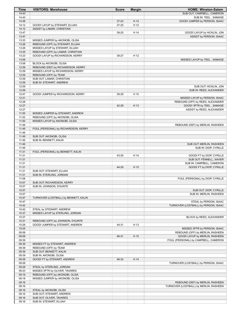| Time           | <b>VISITORS: Morehouse</b>                            | <b>Score</b> | <b>Margin</b> | <b>HOME: Winston-Salem</b>                              |
|----------------|-------------------------------------------------------|--------------|---------------|---------------------------------------------------------|
| 14:43          |                                                       |              |               | SUB OUT: CAMPBELL, CAMERON                              |
| 14:43          |                                                       |              |               | SUB IN: TEEL, SAMAGE                                    |
| 14:36          |                                                       | $37 - 23$    | H 14          | GOOD! JUMPER by PERSON, ISAAC                           |
| 14:12          | GOOD! LAYUP by STEWART, ELIJAH                        | 37-25        | H 12          |                                                         |
| 14:12          | ASSIST by LAMAR, CHRISTIAN                            |              |               |                                                         |
| 13:47<br>13:47 |                                                       | 39-25        | H 14          | GOOD! LAYUP by HICKLIN, JON                             |
| 13:33          | MISSED JUMPER by AKONOBI, OLISA                       |              |               | ASSIST by PERSON, ISAAC                                 |
| 13:26          | REBOUND (OFF) by STEWART, ELIJAH                      |              |               |                                                         |
| 13:26          | MISSED LAYUP by STEWART, ELIJAH                       |              |               |                                                         |
| 13:25          | REBOUND (OFF) by LAMAR, CHRISTIAN                     |              |               |                                                         |
| 13:23          | GOOD! LAYUP by RICHARDSON, KERRY                      | 39-27        | H 12          |                                                         |
| 13:06          |                                                       |              |               | MISSED LAYUP by TEEL, SAMAGE                            |
| 13:06          | BLOCK by AKONOBI, OLISA                               |              |               |                                                         |
| 12:59          | REBOUND (DEF) by RICHARDSON, KERRY                    |              |               |                                                         |
| 12:59          | MISSED LAYUP by RICHARDSON, KERRY                     |              |               |                                                         |
| 12:59          | REBOUND (OFF) by TEAM                                 |              |               |                                                         |
| 12:59          | SUB OUT: LAMAR, CHRISTIAN                             |              |               |                                                         |
| 12:59          | SUB IN: STEWART, ANDREW                               |              |               |                                                         |
| 12:59          |                                                       |              |               | SUB OUT: HICKLIN, JON                                   |
| 12:59          |                                                       |              |               | SUB IN: REED, ALEXANDER                                 |
| 12:47          | GOOD! JUMPER by RICHARDSON, KERRY                     | 39-29        | H 10          |                                                         |
| 12:31          |                                                       |              |               | MISSED LAYUP by PERSON, ISAAC                           |
| 12:28<br>12:27 |                                                       | 42-29        | H 13          | REBOUND (OFF) by REED, ALEXANDER                        |
| 12:27          |                                                       |              |               | GOOD! 3PTR by TEEL, SAMAGE<br>ASSIST by REED, ALEXANDER |
| 11:55          | MISSED JUMPER by STEWART, ANDREW                      |              |               |                                                         |
| 11:52          | REBOUND (OFF) by AKONOBI, OLISA                       |              |               |                                                         |
| 11:50          | MISSED LAYUP by AKONOBI, OLISA                        |              |               |                                                         |
| 11:49          |                                                       |              |               | REBOUND (DEF) by MERLIN, RASHEEN                        |
| 11:49          | FOUL (PERSONAL) by RICHARDSON, KERRY                  |              |               |                                                         |
| 11:49          |                                                       |              |               |                                                         |
| 11:49          | SUB OUT: AKONOBI, OLISA                               |              |               |                                                         |
| 11:49          | SUB IN: BENNETT, KALIN                                |              |               |                                                         |
| 11:49          |                                                       |              |               | SUB OUT: MERLIN, RASHEEN                                |
| 11:49          |                                                       |              |               | SUB IN: DIOP, CYRILLE                                   |
| 11:31          | FOUL (PERSONAL) by BENNETT, KALIN                     |              |               |                                                         |
| 11:31          |                                                       | 43-29        | H 14          | GOOD! FT by DIOP, CYRILLE                               |
| 11:31          |                                                       |              |               | SUB OUT: FENNELL, XAVIER                                |
| 11:31          |                                                       |              |               | SUB IN: CAMPBELL, CAMERON                               |
| 11:31          |                                                       | 44-29        | H 15          | GOOD! FT by DIOP, CYRILLE                               |
| 11:31          | SUB OUT: STEWART, ELIJAH                              |              |               |                                                         |
| 11:31          | SUB IN: STERLING, JORDAN                              |              |               | FOUL (PERSONAL) by DIOP, CYRILLE                        |
| 11:08<br>10:57 | SUB OUT: RICHARDSON, KERRY                            |              |               |                                                         |
| 10:57          | SUB IN: JOHNSON, D'AUNTE                              |              |               |                                                         |
| 10:57          |                                                       |              |               | SUB OUT: DIOP, CYRILLE                                  |
| 10:57          |                                                       |              |               | SUB IN: MERLIN, RASHEEN                                 |
| 10:47          | TURNOVER (LOSTBALL) by BENNETT, KALIN                 |              |               |                                                         |
| 10:47          |                                                       |              |               | STEAL by PERSON, ISAAC                                  |
| 10:42          |                                                       |              |               | TURNOVER (LOSTBALL) by PERSON, ISAAC                    |
| 10:42          | STEAL by STEWART, ANDREW                              |              |               |                                                         |
| 10:37          | MISSED LAYUP by STERLING, JORDAN                      |              |               |                                                         |
| 10:37          |                                                       |              |               | BLOCK by REED, ALEXANDER                                |
| 10:31          | REBOUND (OFF) by JOHNSON, D'AUNTE                     |              |               |                                                         |
| 10:26          | GOOD! JUMPER by STEWART, ANDREW                       | 44-31        | H 13          |                                                         |
| 10:05          |                                                       |              |               | MISSED 3PTR by PERSON, ISAAC                            |
| 09:58          |                                                       |              |               | REBOUND (OFF) by MERLIN, RASHEEN                        |
| 09:58          |                                                       | 46-31        | H 15          | GOOD! LAYUP by MERLIN, RASHEEN                          |
| 09:39          |                                                       |              |               | FOUL (PERSONAL) by CAMPBELL, CAMERON                    |
| 09:39          | MISSED FT by STEWART, ANDREW<br>REBOUND (OFF) by TEAM |              |               |                                                         |
| 09:39<br>09:39 | SUB OUT: BENNETT, KALIN                               |              |               |                                                         |
| 09:39          | SUB IN: AKONOBI, OLISA                                |              |               |                                                         |
| 09:39          | GOOD! FT by STEWART, ANDREW                           | 46-32        | H 14          |                                                         |
| 09:28          |                                                       |              |               | TURNOVER (LOSTBALL) by PERSON, ISAAC                    |
| 09:28          | STEAL by STERLING, JORDAN                             |              |               |                                                         |
| 09:23          | MISSED 3PTR by OLIVER, TAVARES                        |              |               |                                                         |
| 09:19          | REBOUND (OFF) by AKONOBI, OLISA                       |              |               |                                                         |
| 09:18          | MISSED JUMPER by AKONOBI, OLISA                       |              |               |                                                         |
| 09:16          |                                                       |              |               | REBOUND (DEF) by MERLIN, RASHEEN                        |
| 09:16          |                                                       |              |               | TURNOVER (LOSTBALL) by MERLIN, RASHEEN                  |
| 09:16          | STEAL by AKONOBI, OLISA                               |              |               |                                                         |
| 09:16          | SUB OUT: STEWART, ANDREW                              |              |               |                                                         |
| 09:16          | SUB OUT: OLIVER, TAVARES                              |              |               |                                                         |
| 09:16          | SUB IN: STEWART, ELIJAH                               |              |               |                                                         |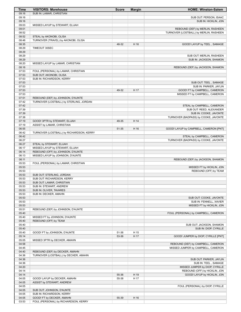| Time           | <b>VISITORS: Morehouse</b>                                  | <b>Score</b> | <b>Margin</b> | <b>HOME: Winston-Salem</b>                                                 |
|----------------|-------------------------------------------------------------|--------------|---------------|----------------------------------------------------------------------------|
| 09:16          | SUB IN: LAMAR, CHRISTIAN                                    |              |               |                                                                            |
| 09:16          |                                                             |              |               | SUB OUT: PERSON, ISAAC                                                     |
| 09:16          |                                                             |              |               | SUB IN: HICKLIN, JON                                                       |
| 09:03<br>09:01 | MISSED LAYUP by STEWART, ELIJAH                             |              |               |                                                                            |
| 08:52          |                                                             |              |               | REBOUND (DEF) by MERLIN, RASHEEN<br>TURNOVER (LOSTBALL) by MERLIN, RASHEEN |
| 08:52          | STEAL by AKONOBI, OLISA                                     |              |               |                                                                            |
| 08:48          | TURNOVER (TRAVEL) by AKONOBI, OLISA                         |              |               |                                                                            |
| 08:35          |                                                             | 48-32        | H 16          | GOOD! LAYUP by TEEL, SAMAGE                                                |
| 08:29          | TIMEOUT 30SEC                                               |              |               |                                                                            |
| 08:29          |                                                             |              |               |                                                                            |
| 08:29          |                                                             |              |               | SUB OUT: MERLIN, RASHEEN                                                   |
| 08:29          |                                                             |              |               | SUB IN: JACKSON, SHAMON                                                    |
| 08:20          | MISSED LAYUP by LAMAR, CHRISTIAN                            |              |               |                                                                            |
| 08:16<br>07:53 | FOUL (PERSONAL) by LAMAR, CHRISTIAN                         |              |               | REBOUND (DEF) by JACKSON, SHAMON                                           |
| 07:53          | SUB OUT: AKONOBI, OLISA                                     |              |               |                                                                            |
| 07:53          | SUB IN: RICHARDSON, KERRY                                   |              |               |                                                                            |
| 07:53          |                                                             |              |               | SUB OUT: TEEL, SAMAGE                                                      |
| 07:53          |                                                             |              |               | SUB IN: PARKER, JAYLIN                                                     |
| 07:53          |                                                             | 49-32        | H 17          | GOOD! FT by CAMPBELL, CAMERON                                              |
| 07:53          |                                                             |              |               | MISSED FT by CAMPBELL, CAMERON                                             |
| 07:51          | REBOUND (DEF) by JOHNSON, D'AUNTE                           |              |               |                                                                            |
| 07:42<br>07:42 | TURNOVER (LOSTBALL) by STERLING, JORDAN                     |              |               | STEAL by CAMPBELL, CAMERON                                                 |
| 07:39          |                                                             |              |               | SUB OUT: REED, ALEXANDER                                                   |
| 07:39          |                                                             |              |               | SUB IN: COOKE, JAVONTE                                                     |
| 07:38          |                                                             |              |               | TURNOVER (BADPASS) by COOKE, JAVONTE                                       |
| 07:19          | GOOD! 3PTR by STEWART, ELIJAH                               | 49-35        | H 14          |                                                                            |
| 07:19          | ASSIST by LAMAR, CHRISTIAN                                  |              |               |                                                                            |
| 06:55          |                                                             | 51-35        | H 16          | GOOD! LAYUP by CAMPBELL, CAMERON [PNT]                                     |
| 06:42          | TURNOVER (LOSTBALL) by RICHARDSON, KERRY                    |              |               |                                                                            |
| 06:42          |                                                             |              |               | STEAL by CAMPBELL, CAMERON                                                 |
| 06:27          |                                                             |              |               | TURNOVER (BADPASS) by COOKE, JAVONTE                                       |
| 06:27<br>06:17 | STEAL by STEWART, ELIJAH<br>MISSED LAYUP by STEWART, ELIJAH |              |               |                                                                            |
| 06:14          | REBOUND (OFF) by JOHNSON, D'AUNTE                           |              |               |                                                                            |
| 06:13          | MISSED LAYUP by JOHNSON, D'AUNTE                            |              |               |                                                                            |
| 06:11          |                                                             |              |               | REBOUND (DEF) by JACKSON, SHAMON                                           |
| 05:53          | FOUL (PERSONAL) by LAMAR, CHRISTIAN                         |              |               |                                                                            |
| 05:53          |                                                             |              |               | MISSED FT by HICKLIN, JON                                                  |
| 05:53          |                                                             |              |               | REBOUND (OFF) by TEAM                                                      |
| 05:53          | SUB OUT: STERLING, JORDAN                                   |              |               |                                                                            |
| 05:53<br>05:53 | SUB OUT: RICHARDSON, KERRY<br>SUB OUT: LAMAR, CHRISTIAN     |              |               |                                                                            |
| 05:53          | SUB IN: STEWART, ANDREW                                     |              |               |                                                                            |
| 05:53          | SUB IN: OLIVER, TAVARES                                     |              |               |                                                                            |
| 05:53          | SUB IN: DECKER, AMAHN                                       |              |               |                                                                            |
| 05:53          |                                                             |              |               | SUB OUT: COOKE, JAVONTE                                                    |
| 05:53          |                                                             |              |               | SUB IN: FENNELL, XAVIER                                                    |
| 05:53          |                                                             |              |               | MISSED FT by HICKLIN, JON                                                  |
| 05:51          | REBOUND (DEF) by JOHNSON, D'AUNTE                           |              |               |                                                                            |
| 05:40<br>05:40 | MISSED FT by JOHNSON, D'AUNTE                               |              |               | FOUL (PERSONAL) by CAMPBELL, CAMERON                                       |
| 05:40          | REBOUND (OFF) by TEAM                                       |              |               |                                                                            |
| 05:40          |                                                             |              |               | SUB OUT: JACKSON, SHAMON                                                   |
| 05:40          |                                                             |              |               | SUB IN: DIOP, CYRILLE                                                      |
| 05:40          | GOOD! FT by JOHNSON, D'AUNTE                                | 51-36        | H 15          |                                                                            |
| 05:14          |                                                             | 53-36        | H 17          | GOOD! JUMPER by DIOP, CYRILLE [PNT]                                        |
| 05:05          | MISSED 3PTR by DECKER, AMAHN                                |              |               |                                                                            |
| 04:58          |                                                             |              |               | REBOUND (DEF) by CAMPBELL, CAMERON                                         |
| 04:45<br>04:40 | REBOUND (DEF) by DECKER, AMAHN                              |              |               | MISSED JUMPER by CAMPBELL, CAMERON                                         |
| 04:36          | TURNOVER (LOSTBALL) by DECKER, AMAHN                        |              |               |                                                                            |
| 04:36          |                                                             |              |               | SUB OUT: PARKER, JAYLIN                                                    |
| 04:36          |                                                             |              |               | SUB IN: TEEL, SAMAGE                                                       |
| 04:20          |                                                             |              |               | MISSED JUMPER by DIOP, CYRILLE                                             |
| 04:14          |                                                             |              |               | REBOUND (OFF) by HICKLIN, JON                                              |
| 04:14          |                                                             | 55-36        | H 19          | GOOD! LAYUP by HICKLIN, JON                                                |
| 04:05          | GOOD! LAYUP by DECKER, AMAHN                                | 55-38        | H 17          |                                                                            |
| 04:05          | ASSIST by STEWART, ANDREW                                   |              |               |                                                                            |
| 04:05<br>04:05 | SUB OUT: JOHNSON, D'AUNTE                                   |              |               | FOUL (PERSONAL) by DIOP, CYRILLE                                           |
| 04:05          | SUB IN: RICHARDSON, KERRY                                   |              |               |                                                                            |
| 04:05          | GOOD! FT by DECKER, AMAHN                                   | 55-39        | H 16          |                                                                            |
| 03:53          | FOUL (PERSONAL) by RICHARDSON, KERRY                        |              |               |                                                                            |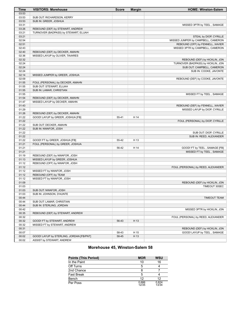| <b>Time</b> | <b>VISITORS: Morehouse</b>               | <b>Score</b> | <b>Margin</b> | <b>HOME: Winston-Salem</b>         |
|-------------|------------------------------------------|--------------|---------------|------------------------------------|
| 03:53       |                                          |              |               |                                    |
| 03:53       | SUB OUT: RICHARDSON, KERRY               |              |               |                                    |
| 03:53       | SUB IN: GREER, JOSHUA                    |              |               |                                    |
| 03:31       |                                          |              |               | MISSED 3PTR by TEEL, SAMAGE        |
| 03:26       | REBOUND (DEF) by STEWART, ANDREW         |              |               |                                    |
| 03:21       | TURNOVER (BADPASS) by STEWART, ELIJAH    |              |               |                                    |
| 03:21       |                                          |              |               | STEAL by DIOP, CYRILLE             |
| 02:54       |                                          |              |               | MISSED JUMPER by CAMPBELL, CAMERON |
| 02:51       |                                          |              |               | REBOUND (OFF) by FENNELL, XAVIER   |
| 02:43       |                                          |              |               | MISSED 3PTR by CAMPBELL, CAMERON   |
| 02:40       | REBOUND (DEF) by DECKER, AMAHN           |              |               |                                    |
| 02:36       | MISSED LAYUP by OLIVER, TAVARES          |              |               |                                    |
| 02:32       |                                          |              |               | REBOUND (DEF) by HICKLIN, JON      |
| 02:24       |                                          |              |               | TURNOVER (BADPASS) by HICKLIN, JON |
| 02:24       |                                          |              |               | SUB OUT: CAMPBELL, CAMERON         |
| 02:24       |                                          |              |               | SUB IN: COOKE, JAVONTE             |
| 02:14       | MISSED JUMPER by GREER, JOSHUA           |              |               |                                    |
| 02:09       |                                          |              |               | REBOUND (DEF) by COOKE, JAVONTE    |
| 01:55       | FOUL (PERSONAL) by DECKER, AMAHN         |              |               |                                    |
| 01:55       | SUB OUT: STEWART, ELIJAH                 |              |               |                                    |
| 01:55       | SUB IN: LAMAR, CHRISTIAN                 |              |               |                                    |
| 01:55       |                                          |              |               | MISSED FT by TEEL, SAMAGE          |
| 01:54       | REBOUND (DEF) by DECKER, AMAHN           |              |               |                                    |
| 01:47       | MISSED LAYUP by DECKER, AMAHN            |              |               |                                    |
| 01:43       |                                          |              |               | REBOUND (DEF) by FENNELL, XAVIER   |
| 01:29       |                                          |              |               | MISSED LAYUP by DIOP, CYRILLE      |
| 01:26       | REBOUND (DEF) by DECKER, AMAHN           |              |               |                                    |
| 01:22       | GOOD! LAYUP by GREER, JOSHUA [FB]        | 55-41        | H 14          |                                    |
| 01:22       |                                          |              |               | FOUL (PERSONAL) by DIOP, CYRILLE   |
| 01:22       | SUB OUT: DECKER, AMAHN                   |              |               |                                    |
| 01:22       | SUB IN: NWAFOR, JOSH                     |              |               |                                    |
| 01:22       |                                          |              |               | SUB OUT: DIOP, CYRILLE             |
| 01:22       |                                          |              |               | SUB IN: REED, ALEXANDER            |
| 01:22       | GOOD! FT by GREER, JOSHUA [FB]           | 55-42        | H 13          |                                    |
| 01:21       | FOUL (PERSONAL) by GREER, JOSHUA         |              |               |                                    |
| 01:21       |                                          | 56-42        | H 14          | GOOD! FT by TEEL, SAMAGE [FB]      |
| 01:21       |                                          |              |               | MISSED FT by TEEL, SAMAGE          |
| 01:19       | REBOUND (DEF) by NWAFOR, JOSH            |              |               |                                    |
| 01:13       | MISSED LAYUP by GREER, JOSHUA            |              |               |                                    |
| 01:12       | REBOUND (OFF) by NWAFOR, JOSH            |              |               |                                    |
| 01:12       |                                          |              |               | FOUL (PERSONAL) by REED, ALEXANDER |
| 01:12       | MISSED FT by NWAFOR, JOSH                |              |               |                                    |
| 01:12       | REBOUND (OFF) by TEAM                    |              |               |                                    |
| 01:12       | MISSED FT by NWAFOR, JOSH                |              |               |                                    |
| 01:09       |                                          |              |               | REBOUND (DEF) by HICKLIN, JON      |
| 01:03       |                                          |              |               | TIMEOUT 30SEC                      |
| 01:03       | SUB OUT: NWAFOR, JOSH                    |              |               |                                    |
| 01:03       | SUB IN: JOHNSON, D'AUNTE                 |              |               |                                    |
| 00:44       |                                          |              |               | <b>TIMEOUT TEAM</b>                |
| 00:44       | SUB OUT: LAMAR, CHRISTIAN                |              |               |                                    |
| 00:44       | SUB IN: STERLING, JORDAN                 |              |               |                                    |
| 00:42       |                                          |              |               | MISSED 3PTR by HICKLIN, JON        |
| 00:35       | REBOUND (DEF) by STEWART, ANDREW         |              |               |                                    |
| 00:32       |                                          |              |               | FOUL (PERSONAL) by REED, ALEXANDER |
| 00:32       | GOOD! FT by STEWART, ANDREW              | 56-43        | H 13          |                                    |
| 00:32       | MISSED FT by STEWART, ANDREW             |              |               |                                    |
| 00:31       |                                          |              |               | REBOUND (DEF) by HICKLIN, JON      |
| 00:07       |                                          | 58-43        | H 15          | GOOD! LAYUP by TEEL, SAMAGE        |
| 00:02       | GOOD! LAYUP by STERLING, JORDAN [FB/PNT] | 58-45        | H 13          |                                    |
| 00:02       | ASSIST by STEWART, ANDREW                |              |               |                                    |

#### **Morehouse 45, Winston-Salem 58**

| <b>Points (This Period)</b> | <b>MOR</b>     | <b>WSU</b>     |
|-----------------------------|----------------|----------------|
| In the Paint                | 10             | 16             |
| Off Turns                   | 5              |                |
| 2nd Chance                  |                |                |
| <b>Fast Break</b>           | 5              |                |
| Bench                       | 12             | 12             |
| Per Poss                    | 0.686<br>12/35 | 0.824<br>13/34 |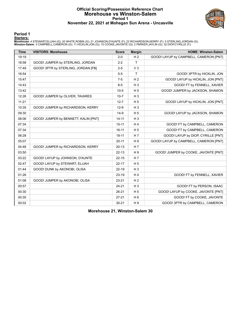#### **Official Scoring/Possession Reference Chart Morehouse vs Winston-Salem Period 1 November 22, 2021 at Mohegan Sun Arena - Uncasville**



**Period 1**

#### **Starters:**

Morehouse: 4 STEWART,ELIJAH (G); 20 WHITE,ROBIN (G); 21 JOHNSON,D'AUNTE (F); 22 RICHARDSON,KERRY (F); 5 STERLING,JORDAN (G);<br>**Winston-Salem**: 3 CAMPBELL,CAMERON (G); 11 HICKLIN,JON (G); 15 COOKE,JAVONTE (G); 2 PARKER,JAYLI

| <b>Time</b> | <b>VISITORS: Morehouse</b>           | <b>Score</b> | <b>Margin</b>  | <b>HOME: Winston-Salem</b>             |
|-------------|--------------------------------------|--------------|----------------|----------------------------------------|
| 19:19       |                                      | $2 - 0$      | H <sub>2</sub> | GOOD! LAYUP by CAMPBELL, CAMERON [PNT] |
| 18:58       | GOOD! JUMPER by STERLING, JORDAN     | $2 - 2$      | $\mathsf T$    |                                        |
| 17:49       | GOOD! 3PTR by STERLING, JORDAN [FB]  | $2 - 5$      | V <sub>3</sub> |                                        |
| 16:54       |                                      | $5-5$        | T              | GOOD! 3PTR by HICKLIN, JON             |
| 15:47       |                                      | $7 - 5$      | H <sub>2</sub> | GOOD! LAYUP by HICKLIN, JON [PNT]      |
| 14:43       |                                      | $8 - 5$      | $H_3$          | GOOD! FT by FENNELL, XAVIER            |
| 13:42       |                                      | $10-5$       | H <sub>5</sub> | GOOD! JUMPER by JACKSON, SHAMON        |
| 12:26       | GOOD! JUMPER by OLIVER, TAVARES      | $10 - 7$     | H <sub>3</sub> |                                        |
| 11:21       |                                      | $12 - 7$     | H <sub>5</sub> | GOOD! LAYUP by HICKLIN, JON [PNT]      |
| 10:35       | GOOD! JUMPER by RICHARDSON, KERRY    | $12-9$       | $H_3$          |                                        |
| 09:30       |                                      | $14-9$       | H <sub>5</sub> | GOOD! LAYUP by JACKSON, SHAMON         |
| 08:06       | GOOD! JUMPER by BENNETT, KALIN [PNT] | $14 - 11$    | $H_3$          |                                        |
| 07:34       |                                      | $15 - 11$    | H <sub>4</sub> | GOOD! FT by CAMPBELL, CAMERON          |
| 07:34       |                                      | $16 - 11$    | H <sub>5</sub> | GOOD! FT by CAMPBELL, CAMERON          |
| 06:28       |                                      | $18 - 11$    | H <sub>7</sub> | GOOD! LAYUP by DIOP, CYRILLE [PNT]     |
| 05:07       |                                      | $20 - 11$    | H <sub>9</sub> | GOOD! LAYUP by CAMPBELL, CAMERON [PNT] |
| 04:48       | GOOD! JUMPER by RICHARDSON, KERRY    | $20 - 13$    | H <sub>7</sub> |                                        |
| 03:50       |                                      | $22 - 13$    | H <sub>9</sub> | GOOD! JUMPER by COOKE, JAVONTE [PNT]   |
| 03:22       | GOOD! LAYUP by JOHNSON, D'AUNTE      | $22 - 15$    | H <sub>7</sub> |                                        |
| 02:47       | GOOD! LAYUP by STEWART, ELIJAH       | $22 - 17$    | H <sub>5</sub> |                                        |
| 01:44       | GOOD! DUNK by AKONOBI, OLISA         | $22 - 19$    | $H_3$          |                                        |
| 01:26       |                                      | $23-19$      | H <sub>4</sub> | GOOD! FT by FENNELL, XAVIER            |
| 01:08       | GOOD! JUMPER by AKONOBI, OLISA       | 23-21        | H <sub>2</sub> |                                        |
| 00:57       |                                      | $24 - 21$    | $H_3$          | GOOD! FT by PERSON, ISAAC              |
| 00:30       |                                      | $26 - 21$    | H <sub>5</sub> | GOOD! LAYUP by COOKE, JAVONTE [PNT]    |
| 00:30       |                                      | $27 - 21$    | H <sub>6</sub> | GOOD! FT by COOKE, JAVONTE             |
| 00:02       |                                      | $30 - 21$    | H <sub>9</sub> | GOOD! 3PTR by CAMPBELL, CAMERON        |

**Morehouse 21, Winston-Salem 30**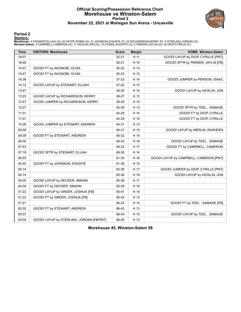#### **Official Scoring/Possession Reference Chart Morehouse vs Winston-Salem Period 2 November 22, 2021 at Mohegan Sun Arena - Uncasville**



#### **Period 2**

#### **Starters:**

Morehouse: 4 STEWART,ELIJAH (G); 20 WHITE,ROBIN (G); 21 JOHNSON,D'AUNTE (F); 22 RICHARDSON,KERRY (F); 5 STERLING,JORDAN (G);<br>**Winston-Salem**: 3 CAMPBELL,CAMERON (G); 11 HICKLIN,JON (G); 15 COOKE,JAVONTE (G); 2 PARKER,JAYLI

| <b>Time</b> | <b>VISITORS: Morehouse</b>               | <b>Score</b> | <b>Margin</b> | <b>HOME: Winston-Salem</b>             |
|-------------|------------------------------------------|--------------|---------------|----------------------------------------|
| 19:07       |                                          | $32 - 21$    | H 11          | GOOD! LAYUP by DIOP, CYRILLE [PNT]     |
| 18:48       |                                          | $35 - 21$    | H 14          | GOOD! 3PTR by PARKER, JAYLIN [FB]      |
| 15:47       | GOOD! FT by AKONOBI, OLISA               | 35-22        | H 13          |                                        |
| 15:47       | GOOD! FT by AKONOBI, OLISA               | 35-23        | H 12          |                                        |
| 14:36       |                                          | 37-23        | H 14          | GOOD! JUMPER by PERSON, ISAAC          |
| 14:12       | GOOD! LAYUP by STEWART, ELIJAH           | 37-25        | H 12          |                                        |
| 13:47       |                                          | 39-25        | H 14          | <b>GOOD! LAYUP by HICKLIN, JON</b>     |
| 13:23       | GOOD! LAYUP by RICHARDSON, KERRY         | 39-27        | H 12          |                                        |
| 12:47       | GOOD! JUMPER by RICHARDSON, KERRY        | 39-29        | H 10          |                                        |
| 12:27       |                                          | 42-29        | H 13          | GOOD! 3PTR by TEEL, SAMAGE             |
| 11:31       |                                          | 43-29        | H 14          | GOOD! FT by DIOP, CYRILLE              |
| 11:31       |                                          | 44-29        | H 15          | GOOD! FT by DIOP, CYRILLE              |
| 10:26       | GOOD! JUMPER by STEWART, ANDREW          | 44-31        | H 13          |                                        |
| 09:58       |                                          | 46-31        | H 15          | GOOD! LAYUP by MERLIN, RASHEEN         |
| 09:39       | GOOD! FT by STEWART, ANDREW              | 46-32        | H 14          |                                        |
| 08:35       |                                          | 48-32        | H 16          | GOOD! LAYUP by TEEL, SAMAGE            |
| 07:53       |                                          | 49-32        | H 17          | GOOD! FT by CAMPBELL, CAMERON          |
| 07:19       | GOOD! 3PTR by STEWART, ELIJAH            | 49-35        | H 14          |                                        |
| 06:55       |                                          | 51-35        | H 16          | GOOD! LAYUP by CAMPBELL, CAMERON [PNT] |
| 05:40       | GOOD! FT by JOHNSON, D'AUNTE             | 51-36        | H 15          |                                        |
| 05:14       |                                          | 53-36        | H 17          | GOOD! JUMPER by DIOP, CYRILLE [PNT]    |
| 04:14       |                                          | 55-36        | H 19          | GOOD! LAYUP by HICKLIN, JON            |
| 04:05       | GOOD! LAYUP by DECKER, AMAHN             | 55-38        | H 17          |                                        |
| 04:05       | GOOD! FT by DECKER, AMAHN                | 55-39        | H 16          |                                        |
| 01:22       | GOOD! LAYUP by GREER, JOSHUA [FB]        | 55-41        | H 14          |                                        |
| 01:22       | GOOD! FT by GREER, JOSHUA [FB]           | 55-42        | H 13          |                                        |
| 01:21       |                                          | 56-42        | H 14          | GOOD! FT by TEEL, SAMAGE [FB]          |
| 00:32       | GOOD! FT by STEWART, ANDREW              | 56-43        | H 13          |                                        |
| 00:07       |                                          | 58-43        | H 15          | GOOD! LAYUP by TEEL, SAMAGE            |
| 00:02       | GOOD! LAYUP by STERLING, JORDAN [FB/PNT] | 58-45        | H 13          |                                        |

**Morehouse 45, Winston-Salem 58**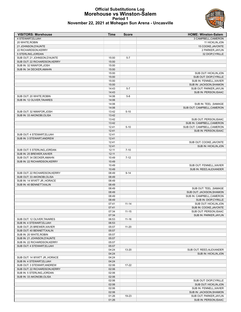

#### **Official Substitutions Log Morehouse vs Winston-Salem Period 1 November 22, 2021 at Mohegan Sun Arena - Uncasville**

| <b>VISITORS: Morehouse</b>    | Time  | <b>Score</b> | <b>HOME: Winston-Salem</b> |
|-------------------------------|-------|--------------|----------------------------|
| 4 STEWART, ELIJAH             |       |              | 3 CAMPBELL, CAMERON        |
| 20 WHITE, ROBIN               |       |              | 11 HICKLIN, JON            |
| 21 JOHNSON, D'AUNTE           |       |              | 15 COOKE, JAVONTE          |
| 22 RICHARDSON, KERRY          |       |              | 2 PARKER, JAYLIN           |
| 5 STERLING, JORDAN            |       |              | 32 DIOP, CYRILLE           |
| SUB OUT: 21 JOHNSON, D'AUNTE  | 15:00 | $5 - 7$      |                            |
| SUB OUT: 22 RICHARDSON, KERRY | 15:00 |              |                            |
| SUB IN: 32 NWAFOR, JOSH       | 15:00 |              |                            |
| SUB IN: 34 DECKER, AMAHN      | 15:00 |              |                            |
|                               | 15:00 |              | SUB OUT: HICKLIN, JON      |
|                               | 15:00 |              | SUB OUT: DIOP, CYRILLE     |
|                               | 15:00 |              | SUB IN: FENNELL, XAVIER    |
|                               | 15:00 |              | SUB IN: JACKSON, SHAMON    |
|                               | 14:43 | $5 - 7$      | SUB OUT: PARKER, JAYLIN    |
|                               | 14:43 |              | SUB IN: PERSON, ISAAC      |
| SUB OUT: 20 WHITE, ROBIN      | 14:06 | $5 - 8$      |                            |
| SUB IN: 12 OLIVER, TAVARES    | 14:06 |              |                            |
|                               | 14:06 |              | SUB IN: TEEL, SAMAGE       |
|                               | 14:06 |              | SUB OUT: CAMPBELL, CAMERON |
| SUB OUT: 32 NWAFOR, JOSH      | 13:42 | $5 - 10$     |                            |
| SUB IN: 33 AKONOBI, OLISA     | 13:42 |              |                            |
|                               | 13:42 |              | SUB OUT: PERSON, ISAAC     |
|                               | 13:42 |              | SUB IN: CAMPBELL, CAMERON  |
|                               | 12:41 | $5 - 10$     | SUB OUT: CAMPBELL, CAMERON |
|                               | 12:41 |              | SUB IN: PERSON, ISAAC      |
| SUB OUT: 4 STEWART.ELIJAH     | 12:41 |              |                            |
| SUB IN: 3 STEWART, ANDREW     | 12:41 |              |                            |
|                               | 12:41 |              | SUB OUT: COOKE, JAVONTE    |
|                               | 12:41 |              | SUB IN: HICKLIN, JON       |
| SUB OUT: 5 STERLING, JORDAN   | 12:11 | $7 - 10$     |                            |
| SUB IN: 25 BREWER, XAVIER     | 12:11 |              |                            |
| SUB OUT: 34 DECKER, AMAHN     | 10:49 | $7 - 12$     |                            |
| SUB IN: 22 RICHARDSON, KERRY  | 10:49 |              |                            |
|                               | 10:49 |              | SUB OUT: FENNELL, XAVIER   |
|                               | 10:49 |              | SUB IN: REED, ALEXANDER    |
| SUB OUT: 22 RICHARDSON, KERRY | 08:49 | $9 - 14$     |                            |
| SUB OUT: 33 AKONOBI, OLISA    | 08:49 |              |                            |
| SUB IN: 14 WYATT JR., HORACE  | 08:49 |              |                            |
| SUB IN: 40 BENNETT, KALIN     | 08:49 |              |                            |
|                               | 08:49 |              | SUB OUT: TEEL, SAMAGE      |
|                               | 08:49 |              | SUB OUT: JACKSON, SHAMON   |
|                               | 08:49 |              | SUB IN: CAMPBELL, CAMERON  |
|                               | 08:49 |              | SUB IN: DIOP, CYRILLE      |
|                               | 07:41 | $11 - 14$    | SUB OUT: HICKLIN, JON      |
|                               | 07:41 |              | SUB IN: COOKE, JAVONTE     |
|                               |       |              |                            |
|                               | 07:34 | $11 - 15$    | SUB OUT: PERSON, ISAAC     |
|                               | 07:34 | $11 - 16$    | SUB IN: PARKER, JAYLIN     |
| SUB OUT: 12 OLIVER, TAVARES   | 06:53 |              |                            |
| SUB IN: 4 STEWART, ELIJAH     | 06:53 |              |                            |
| SUB OUT: 25 BREWER, XAVIER    | 05:07 | $11 - 20$    |                            |
| SUB OUT: 40 BENNETT, KALIN    | 05:07 |              |                            |
| SUB IN: 20 WHITE, ROBIN       | 05:07 |              |                            |
| SUB IN: 21 JOHNSON, D'AUNTE   | 05:07 |              |                            |
| SUB IN: 22 RICHARDSON, KERRY  | 05:07 |              |                            |
| SUB OUT: 4 STEWART, ELIJAH    | 05:07 |              |                            |
|                               | 04:24 | 13-20        | SUB OUT: REED, ALEXANDER   |
|                               | 04:24 |              | SUB IN: HICKLIN, JON       |
| SUB OUT: 14 WYATT JR., HORACE | 04:24 |              |                            |
| SUB IN: 4 STEWART, ELIJAH     | 04:24 |              |                            |
| SUB OUT: 3 STEWART, ANDREW    | 02:06 | $17 - 22$    |                            |
| SUB OUT: 22 RICHARDSON, KERRY | 02:06 |              |                            |
| SUB IN: 5 STERLING, JORDAN    | 02:06 |              |                            |
| SUB IN: 33 AKONOBI, OLISA     | 02:06 |              |                            |
|                               | 02:06 |              | SUB OUT: DIOP, CYRILLE     |
|                               | 02:06 |              | SUB OUT: HICKLIN, JON      |
|                               | 02:06 |              | SUB IN: FENNELL, XAVIER    |
|                               | 02:06 |              | SUB IN: JACKSON, SHAMON    |
|                               | 01:26 | 19-23        | SUB OUT: PARKER, JAYLIN    |
|                               | 01:26 |              | SUB IN: PERSON, ISAAC      |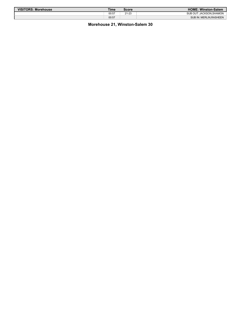| <b>VISITORS: Morehouse</b> | Time  | <b>Score</b> | <b>HOME: Winston-Salem</b> |
|----------------------------|-------|--------------|----------------------------|
|                            | 00:57 | $21 - 23$    | SUB OUT: JACKSON.SHAMON    |
|                            | 00:57 |              | SUB IN: MERLIN.RASHEEN     |

#### **Morehouse 21, Winston-Salem 30**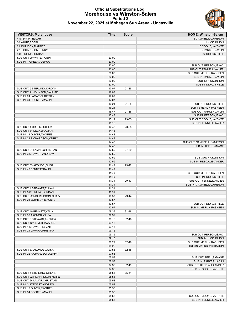

#### **Official Substitutions Log Morehouse vs Winston-Salem Period 2 November 22, 2021 at Mohegan Sun Arena - Uncasville**

| <b>VISITORS: Morehouse</b>    | Time  | <b>Score</b>   | <b>HOME: Winston-Salem</b> |
|-------------------------------|-------|----------------|----------------------------|
| 4 STEWART, ELIJAH             |       |                | 3 CAMPBELL, CAMERON        |
| 20 WHITE, ROBIN               |       |                | 11 HICKLIN, JON            |
| 21 JOHNSON, D'AUNTE           |       |                | 15 COOKE, JAVONTE          |
| 22 RICHARDSON, KERRY          |       |                | 2 PARKER, JAYLIN           |
| 5 STERLING, JORDAN            |       |                | 32 DIOP, CYRILLE           |
| SUB OUT: 20 WHITE, ROBIN      | 20:00 | $\blacksquare$ |                            |
| SUB IN: 1 GREER, JOSHUA       | 20:00 |                |                            |
|                               | 20:00 |                | SUB OUT: PERSON, ISAAC     |
|                               | 20:00 |                | SUB OUT: FENNELL, XAVIER   |
|                               | 20:00 |                | SUB OUT: MERLIN, RASHEEN   |
|                               | 20:00 |                | SUB IN: PARKER, JAYLIN     |
|                               | 20:00 |                | SUB IN: HICKLIN, JON       |
|                               | 20:00 |                | SUB IN: DIOP, CYRILLE      |
| SUB OUT: 5 STERLING, JORDAN   | 17:07 | 21-35          |                            |
| SUB OUT: 21 JOHNSON, D'AUNTE  | 17:07 |                |                            |
| SUB IN: 24 LAMAR, CHRISTIAN   | 17:07 |                |                            |
| SUB IN: 34 DECKER, AMAHN      | 17:07 |                |                            |
|                               | 16:21 | 21-35          | SUB OUT: DIOP, CYRILLE     |
|                               | 16:21 |                | SUB IN: MERLIN, RASHEEN    |
|                               | 15:47 | 21-35          | SUB OUT: PARKER, JAYLIN    |
|                               | 15:47 |                | SUB IN: PERSON, ISAAC      |
|                               | 15:19 | 23-35          | SUB OUT: COOKE, JAVONTE    |
|                               | 15:19 |                | SUB IN: FENNELL, XAVIER    |
| SUB OUT: 1 GREER, JOSHUA      | 14:43 | 23-35          |                            |
| SUB OUT: 34 DECKER, AMAHN     | 14:43 |                |                            |
| SUB IN: 12 OLIVER, TAVARES    | 14:43 |                |                            |
| SUB IN: 22 RICHARDSON, KERRY  | 14:43 |                |                            |
|                               | 14:43 |                | SUB OUT: CAMPBELL, CAMERON |
|                               | 14:43 |                | SUB IN: TEEL, SAMAGE       |
| SUB OUT: 24 LAMAR, CHRISTIAN  | 12:59 | 27-39          |                            |
| SUB IN: 3 STEWART, ANDREW     | 12:59 |                |                            |
|                               | 12:59 |                | SUB OUT: HICKLIN, JON      |
|                               | 12:59 |                | SUB IN: REED, ALEXANDER    |
| SUB OUT: 33 AKONOBI, OLISA    | 11:49 | 29-42          |                            |
| SUB IN: 40 BENNETT, KALIN     | 11:49 |                |                            |
|                               | 11:49 |                | SUB OUT: MERLIN, RASHEEN   |
|                               | 11:49 |                | SUB IN: DIOP, CYRILLE      |
|                               | 11:31 | 29-43          | SUB OUT: FENNELL, XAVIER   |
|                               | 11:31 |                | SUB IN: CAMPBELL, CAMERON  |
| SUB OUT: 4 STEWART, ELIJAH    | 11:31 |                |                            |
| SUB IN: 5 STERLING, JORDAN    | 11:31 |                |                            |
| SUB OUT: 22 RICHARDSON, KERRY | 10:57 | 29-44          |                            |
| SUB IN: 21 JOHNSON.D'AUNTE    | 10:57 |                |                            |
|                               | 10:57 |                | SUB OUT: DIOP, CYRILLE     |
|                               | 10:57 |                | SUB IN: MERLIN, RASHEEN    |
| SUB OUT: 40 BENNETT, KALIN    | 09:39 | 31-46          |                            |
| SUB IN: 33 AKONOBI, OLISA     | 09:39 |                |                            |
| SUB OUT: 3 STEWART, ANDREW    | 09:16 | 32-46          |                            |
| SUB OUT: 12 OLIVER, TAVARES   | 09:16 |                |                            |
| SUB IN: 4 STEWART, ELIJAH     | 09:16 |                |                            |
| SUB IN: 24 LAMAR, CHRISTIAN   | 09:16 |                |                            |
|                               | 09:16 |                | SUB OUT: PERSON, ISAAC     |
|                               | 09:16 |                | SUB IN: HICKLIN, JON       |
|                               | 08:29 | 32-48          | SUB OUT: MERLIN, RASHEEN   |
|                               | 08:29 |                | SUB IN: JACKSON, SHAMON    |
| SUB OUT: 33 AKONOBI, OLISA    | 07:53 | 32-48          |                            |
| SUB IN: 22 RICHARDSON, KERRY  | 07:53 |                |                            |
|                               | 07:53 |                | SUB OUT: TEEL, SAMAGE      |
|                               | 07:53 |                | SUB IN: PARKER, JAYLIN     |
|                               | 07:39 | 32-49          | SUB OUT: REED, ALEXANDER   |
|                               | 07:39 |                | SUB IN: COOKE, JAVONTE     |
| SUB OUT: 5 STERLING, JORDAN   | 05:53 | 35-51          |                            |
| SUB OUT: 22 RICHARDSON, KERRY | 05:53 |                |                            |
| SUB OUT: 24 LAMAR, CHRISTIAN  | 05:53 |                |                            |
| SUB IN: 3 STEWART, ANDREW     | 05:53 |                |                            |
| SUB IN: 12 OLIVER, TAVARES    | 05:53 |                |                            |
| SUB IN: 34 DECKER, AMAHN      | 05:53 |                |                            |
|                               | 05:53 |                | SUB OUT: COOKE, JAVONTE    |
|                               | 05:53 |                | SUB IN: FENNELL, XAVIER    |